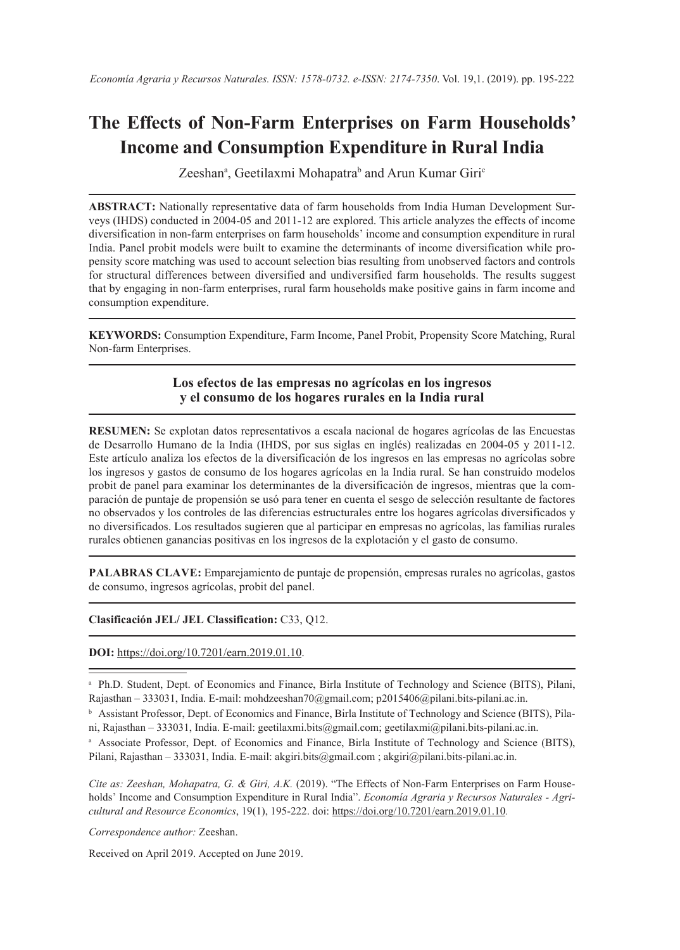# **The Effects of Non-Farm Enterprises on Farm Households' Income and Consumption Expenditure in Rural India**

Zeeshanª, Geetilaxmi Mohapatraʰ and Arun Kumar Giri<sup>c</sup>

**ABSTRACT:** Nationally representative data of farm households from India Human Development Surveys (IHDS) conducted in 2004-05 and 2011-12 are explored. This article analyzes the effects of income diversification in non-farm enterprises on farm households' income and consumption expenditure in rural India. Panel probit models were built to examine the determinants of income diversification while propensity score matching was used to account selection bias resulting from unobserved factors and controls for structural differences between diversified and undiversified farm households. The results suggest that by engaging in non-farm enterprises, rural farm households make positive gains in farm income and consumption expenditure.

**KEYWORDS:** Consumption Expenditure, Farm Income, Panel Probit, Propensity Score Matching, Rural Non-farm Enterprises.

### **Los efectos de las empresas no agrícolas en los ingresos y el consumo de los hogares rurales en la India rural**

**RESUMEN:** Se explotan datos representativos a escala nacional de hogares agrícolas de las Encuestas de Desarrollo Humano de la India (IHDS, por sus siglas en inglés) realizadas en 2004-05 y 2011-12. Este artículo analiza los efectos de la diversificación de los ingresos en las empresas no agrícolas sobre los ingresos y gastos de consumo de los hogares agrícolas en la India rural. Se han construido modelos probit de panel para examinar los determinantes de la diversificación de ingresos, mientras que la comparación de puntaje de propensión se usó para tener en cuenta el sesgo de selección resultante de factores no observados y los controles de las diferencias estructurales entre los hogares agrícolas diversificados y no diversificados. Los resultados sugieren que al participar en empresas no agrícolas, las familias rurales rurales obtienen ganancias positivas en los ingresos de la explotación y el gasto de consumo.

**PALABRAS CLAVE:** Emparejamiento de puntaje de propensión, empresas rurales no agrícolas, gastos de consumo, ingresos agrícolas, probit del panel.

**Clasificación JEL/ JEL Classification:** C33, Q12.

**DOI:** <https://doi.org/10.7201/earn.2019.01.10>.

*Correspondence author:* Zeeshan.

Received on April 2019. Accepted on June 2019.

<sup>a</sup> Ph.D. Student, Dept. of Economics and Finance, Birla Institute of Technology and Science (BITS), Pilani, Rajasthan – 333031, India. E-mail: mohdzeeshan70@gmail.com; p2015406@pilani.bits-pilani.ac.in.

<sup>b</sup> Assistant Professor, Dept. of Economics and Finance, Birla Institute of Technology and Science (BITS), Pilani, Rajasthan – 333031, India. E-mail: geetilaxmi.bits@gmail.com; geetilaxmi@pilani.bits-pilani.ac.in.

<sup>&</sup>lt;sup>a</sup> Associate Professor, Dept. of Economics and Finance, Birla Institute of Technology and Science (BITS), Pilani, Rajasthan – 333031, India. E-mail: akgiri.bits@gmail.com ; akgiri@pilani.bits-pilani.ac.in.

*Cite as: Zeeshan, Mohapatra, G. & Giri, A.K.* (2019). "The Effects of Non-Farm Enterprises on Farm Households' Income and Consumption Expenditure in Rural India". *Economía Agraria y Recursos Naturales - Agricultural and Resource Economics*, 19(1), 195-222. doi: <https://doi.org/10.7201/earn.2019.01.10>*.*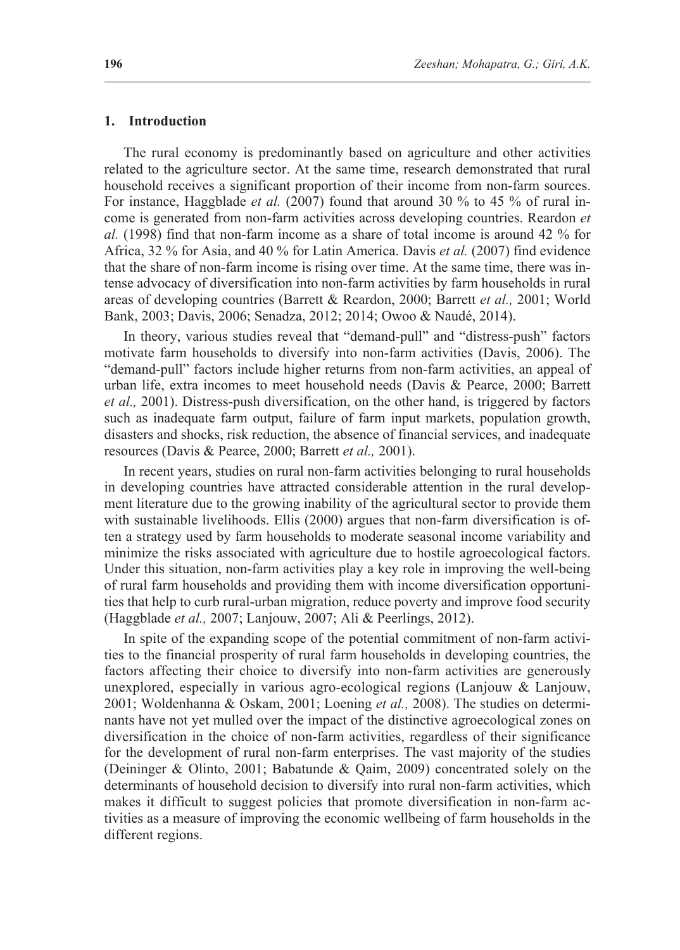#### **1. Introduction**

The rural economy is predominantly based on agriculture and other activities related to the agriculture sector. At the same time, research demonstrated that rural household receives a significant proportion of their income from non-farm sources. For instance, Haggblade *et al.* (2007) found that around 30 % to 45 % of rural income is generated from non-farm activities across developing countries. Reardon *et al.* (1998) find that non-farm income as a share of total income is around 42 % for Africa, 32 % for Asia, and 40 % for Latin America. Davis *et al.* (2007) find evidence that the share of non-farm income is rising over time. At the same time, there was intense advocacy of diversification into non-farm activities by farm households in rural areas of developing countries (Barrett & Reardon, 2000; Barrett *et al.,* 2001; World Bank, 2003; Davis, 2006; Senadza, 2012; 2014; Owoo & Naudé, 2014).

In theory, various studies reveal that "demand-pull" and "distress-push" factors motivate farm households to diversify into non-farm activities (Davis, 2006). The "demand-pull" factors include higher returns from non-farm activities, an appeal of urban life, extra incomes to meet household needs (Davis & Pearce, 2000; Barrett *et al.,* 2001). Distress-push diversification, on the other hand, is triggered by factors such as inadequate farm output, failure of farm input markets, population growth, disasters and shocks, risk reduction, the absence of financial services, and inadequate resources (Davis & Pearce, 2000; Barrett *et al.,* 2001).

In recent years, studies on rural non-farm activities belonging to rural households in developing countries have attracted considerable attention in the rural development literature due to the growing inability of the agricultural sector to provide them with sustainable livelihoods. Ellis (2000) argues that non-farm diversification is often a strategy used by farm households to moderate seasonal income variability and minimize the risks associated with agriculture due to hostile agroecological factors. Under this situation, non-farm activities play a key role in improving the well-being of rural farm households and providing them with income diversification opportunities that help to curb rural-urban migration, reduce poverty and improve food security (Haggblade *et al.,* 2007; Lanjouw, 2007; Ali & Peerlings, 2012).

In spite of the expanding scope of the potential commitment of non-farm activities to the financial prosperity of rural farm households in developing countries, the factors affecting their choice to diversify into non-farm activities are generously unexplored, especially in various agro-ecological regions (Lanjouw & Lanjouw, 2001; Woldenhanna & Oskam, 2001; Loening *et al.,* 2008). The studies on determinants have not yet mulled over the impact of the distinctive agroecological zones on diversification in the choice of non-farm activities, regardless of their significance for the development of rural non-farm enterprises. The vast majority of the studies (Deininger & Olinto, 2001; Babatunde & Qaim, 2009) concentrated solely on the determinants of household decision to diversify into rural non-farm activities, which makes it difficult to suggest policies that promote diversification in non-farm activities as a measure of improving the economic wellbeing of farm households in the different regions.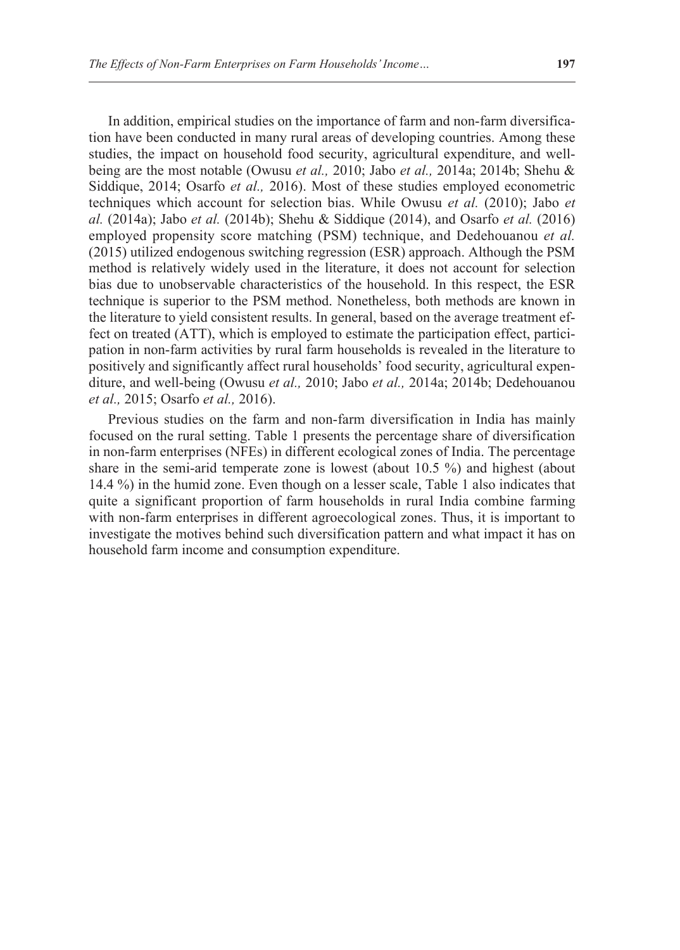In addition, empirical studies on the importance of farm and non-farm diversification have been conducted in many rural areas of developing countries. Among these studies, the impact on household food security, agricultural expenditure, and wellbeing are the most notable (Owusu *et al.,* 2010; Jabo *et al.,* 2014a; 2014b; Shehu & Siddique, 2014; Osarfo *et al.,* 2016). Most of these studies employed econometric techniques which account for selection bias. While Owusu *et al.* (2010); Jabo *et al.* (2014a); Jabo *et al.* (2014b); Shehu & Siddique (2014), and Osarfo *et al.* (2016) employed propensity score matching (PSM) technique, and Dedehouanou *et al.* (2015) utilized endogenous switching regression (ESR) approach. Although the PSM method is relatively widely used in the literature, it does not account for selection bias due to unobservable characteristics of the household. In this respect, the ESR technique is superior to the PSM method. Nonetheless, both methods are known in the literature to yield consistent results. In general, based on the average treatment effect on treated (ATT), which is employed to estimate the participation effect, participation in non-farm activities by rural farm households is revealed in the literature to positively and significantly affect rural households' food security, agricultural expenditure, and well-being (Owusu *et al.,* 2010; Jabo *et al.,* 2014a; 2014b; Dedehouanou *et al.,* 2015; Osarfo *et al.,* 2016).

Previous studies on the farm and non-farm diversification in India has mainly focused on the rural setting. Table 1 presents the percentage share of diversification in non-farm enterprises (NFEs) in different ecological zones of India. The percentage share in the semi-arid temperate zone is lowest (about 10.5 %) and highest (about 14.4 %) in the humid zone. Even though on a lesser scale, Table 1 also indicates that quite a significant proportion of farm households in rural India combine farming with non-farm enterprises in different agroecological zones. Thus, it is important to investigate the motives behind such diversification pattern and what impact it has on household farm income and consumption expenditure.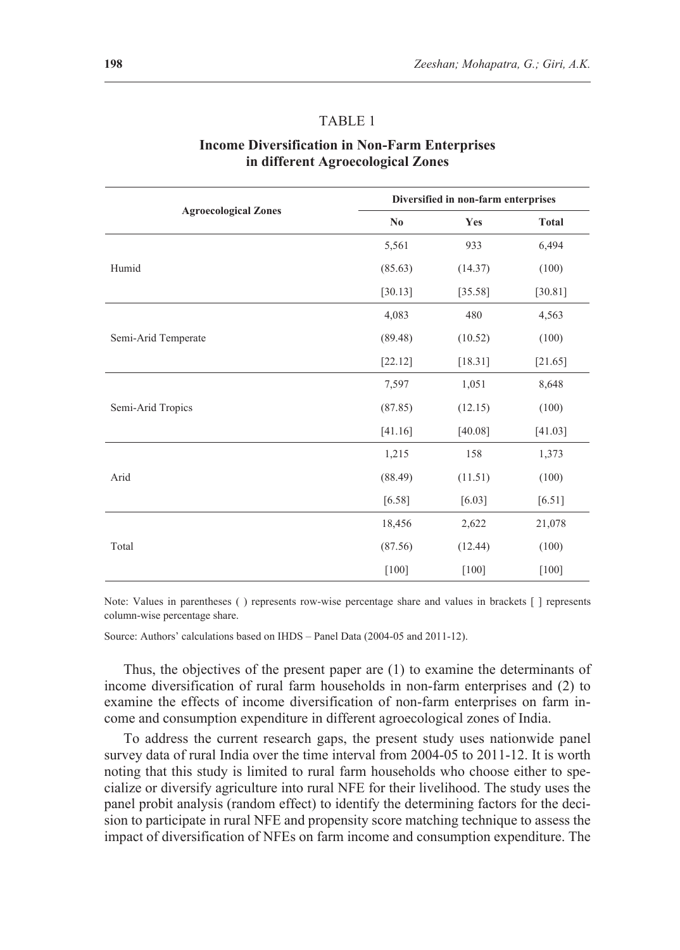## TABLE 1

## **Income Diversification in Non-Farm Enterprises in different Agroecological Zones**

|                             | Diversified in non-farm enterprises |          |              |  |
|-----------------------------|-------------------------------------|----------|--------------|--|
| <b>Agroecological Zones</b> | N <sub>0</sub>                      | Yes      | <b>Total</b> |  |
|                             | 5,561                               | 933      | 6,494        |  |
| Humid                       | (85.63)                             | (14.37)  | (100)        |  |
|                             | [30.13]                             | [35.58]  | [30.81]      |  |
|                             | 4,083                               | 480      | 4,563        |  |
| Semi-Arid Temperate         | (89.48)                             | (10.52)  | (100)        |  |
|                             | [22.12]                             | [18.31]  | [21.65]      |  |
|                             | 7,597                               | 1,051    | 8,648        |  |
| Semi-Arid Tropics           | (87.85)                             | (12.15)  | (100)        |  |
|                             | [41.16]                             | [40.08]  | [41.03]      |  |
|                             | 1,215                               | 158      | 1,373        |  |
| Arid                        | (88.49)                             | (11.51)  | (100)        |  |
|                             | [6.58]                              | $[6.03]$ | [6.51]       |  |
|                             | 18,456                              | 2,622    | 21,078       |  |
| Total                       | (87.56)                             | (12.44)  | (100)        |  |
|                             | $[100]$                             | $[100]$  | $[100]$      |  |

Note: Values in parentheses ( ) represents row-wise percentage share and values in brackets [ ] represents column-wise percentage share.

Source: Authors' calculations based on IHDS – Panel Data (2004-05 and 2011-12).

Thus, the objectives of the present paper are (1) to examine the determinants of income diversification of rural farm households in non-farm enterprises and (2) to examine the effects of income diversification of non-farm enterprises on farm income and consumption expenditure in different agroecological zones of India.

To address the current research gaps, the present study uses nationwide panel survey data of rural India over the time interval from 2004-05 to 2011-12. It is worth noting that this study is limited to rural farm households who choose either to specialize or diversify agriculture into rural NFE for their livelihood. The study uses the panel probit analysis (random effect) to identify the determining factors for the decision to participate in rural NFE and propensity score matching technique to assess the impact of diversification of NFEs on farm income and consumption expenditure. The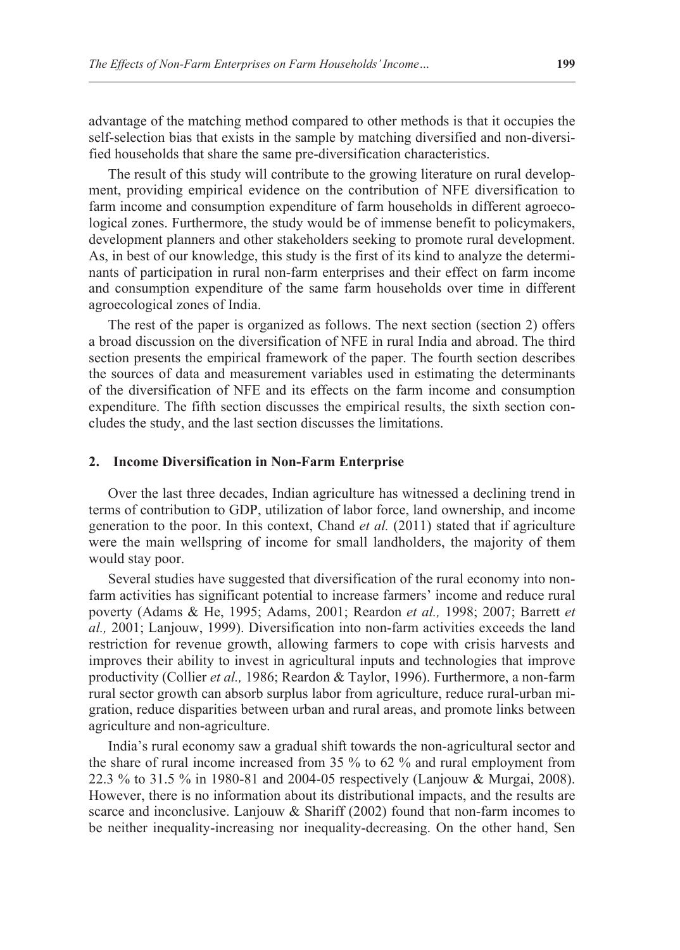advantage of the matching method compared to other methods is that it occupies the self-selection bias that exists in the sample by matching diversified and non-diversified households that share the same pre-diversification characteristics.

The result of this study will contribute to the growing literature on rural development, providing empirical evidence on the contribution of NFE diversification to farm income and consumption expenditure of farm households in different agroecological zones. Furthermore, the study would be of immense benefit to policymakers, development planners and other stakeholders seeking to promote rural development. As, in best of our knowledge, this study is the first of its kind to analyze the determinants of participation in rural non-farm enterprises and their effect on farm income and consumption expenditure of the same farm households over time in different agroecological zones of India.

The rest of the paper is organized as follows. The next section (section 2) offers a broad discussion on the diversification of NFE in rural India and abroad. The third section presents the empirical framework of the paper. The fourth section describes the sources of data and measurement variables used in estimating the determinants of the diversification of NFE and its effects on the farm income and consumption expenditure. The fifth section discusses the empirical results, the sixth section concludes the study, and the last section discusses the limitations.

## **2. Income Diversification in Non-Farm Enterprise**

Over the last three decades, Indian agriculture has witnessed a declining trend in terms of contribution to GDP, utilization of labor force, land ownership, and income generation to the poor. In this context, Chand *et al.* (2011) stated that if agriculture were the main wellspring of income for small landholders, the majority of them would stay poor.

Several studies have suggested that diversification of the rural economy into nonfarm activities has significant potential to increase farmers' income and reduce rural poverty (Adams & He, 1995; Adams, 2001; Reardon *et al.,* 1998; 2007; Barrett *et al.,* 2001; Lanjouw, 1999). Diversification into non-farm activities exceeds the land restriction for revenue growth, allowing farmers to cope with crisis harvests and improves their ability to invest in agricultural inputs and technologies that improve productivity (Collier *et al.,* 1986; Reardon & Taylor, 1996). Furthermore, a non-farm rural sector growth can absorb surplus labor from agriculture, reduce rural-urban migration, reduce disparities between urban and rural areas, and promote links between agriculture and non-agriculture.

India's rural economy saw a gradual shift towards the non-agricultural sector and the share of rural income increased from 35 % to 62 % and rural employment from 22.3 % to 31.5 % in 1980-81 and 2004-05 respectively (Lanjouw & Murgai, 2008). However, there is no information about its distributional impacts, and the results are scarce and inconclusive. Lanjouw & Shariff (2002) found that non-farm incomes to be neither inequality-increasing nor inequality-decreasing. On the other hand, Sen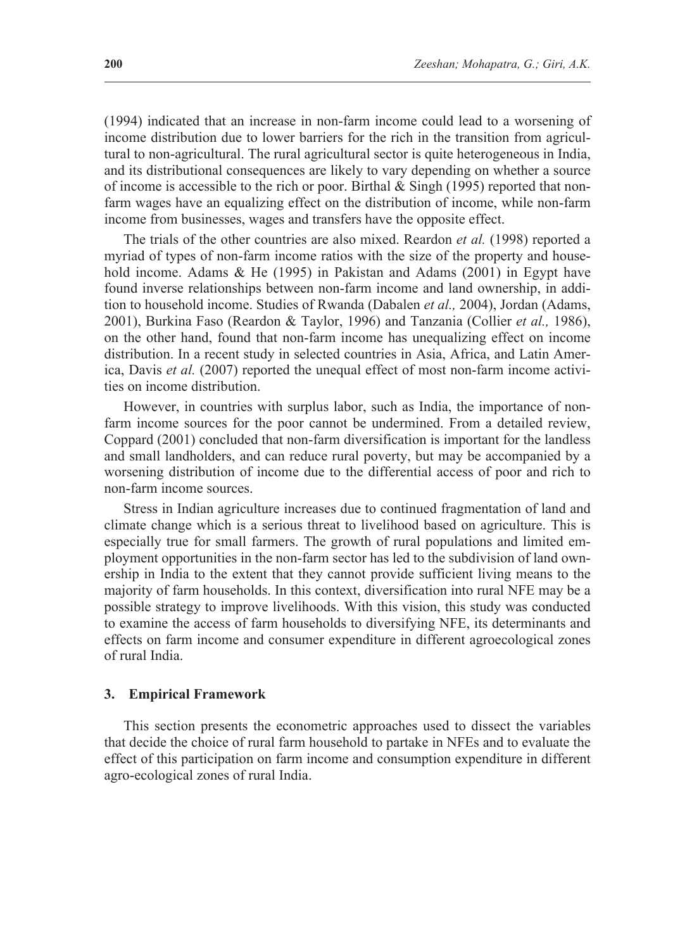(1994) indicated that an increase in non-farm income could lead to a worsening of income distribution due to lower barriers for the rich in the transition from agricultural to non-agricultural. The rural agricultural sector is quite heterogeneous in India, and its distributional consequences are likely to vary depending on whether a source of income is accessible to the rich or poor. Birthal  $&$  Singh (1995) reported that nonfarm wages have an equalizing effect on the distribution of income, while non-farm income from businesses, wages and transfers have the opposite effect.

The trials of the other countries are also mixed. Reardon *et al.* (1998) reported a myriad of types of non-farm income ratios with the size of the property and household income. Adams & He (1995) in Pakistan and Adams (2001) in Egypt have found inverse relationships between non-farm income and land ownership, in addition to household income. Studies of Rwanda (Dabalen *et al.,* 2004), Jordan (Adams, 2001), Burkina Faso (Reardon & Taylor, 1996) and Tanzania (Collier *et al.,* 1986), on the other hand, found that non-farm income has unequalizing effect on income distribution. In a recent study in selected countries in Asia, Africa, and Latin America, Davis *et al.* (2007) reported the unequal effect of most non-farm income activities on income distribution.

However, in countries with surplus labor, such as India, the importance of nonfarm income sources for the poor cannot be undermined. From a detailed review, Coppard (2001) concluded that non-farm diversification is important for the landless and small landholders, and can reduce rural poverty, but may be accompanied by a worsening distribution of income due to the differential access of poor and rich to non-farm income sources.

Stress in Indian agriculture increases due to continued fragmentation of land and climate change which is a serious threat to livelihood based on agriculture. This is especially true for small farmers. The growth of rural populations and limited employment opportunities in the non-farm sector has led to the subdivision of land ownership in India to the extent that they cannot provide sufficient living means to the majority of farm households. In this context, diversification into rural NFE may be a possible strategy to improve livelihoods. With this vision, this study was conducted to examine the access of farm households to diversifying NFE, its determinants and effects on farm income and consumer expenditure in different agroecological zones of rural India.

#### **3. Empirical Framework**

This section presents the econometric approaches used to dissect the variables that decide the choice of rural farm household to partake in NFEs and to evaluate the effect of this participation on farm income and consumption expenditure in different agro-ecological zones of rural India.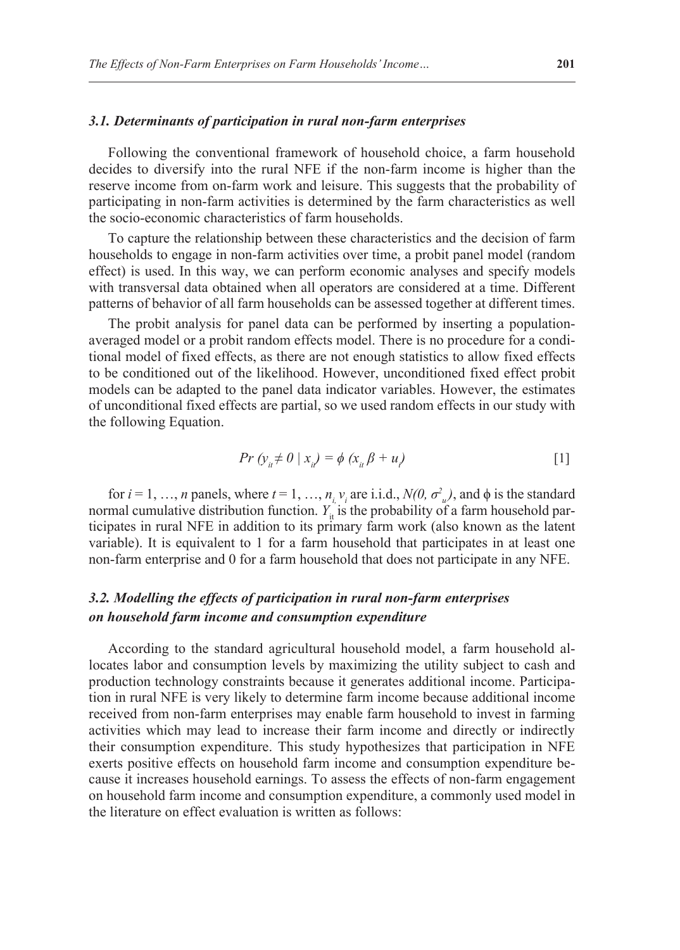#### *3.1. Determinants of participation in rural non-farm enterprises*

Following the conventional framework of household choice, a farm household decides to diversify into the rural NFE if the non-farm income is higher than the reserve income from on-farm work and leisure. This suggests that the probability of participating in non-farm activities is determined by the farm characteristics as well the socio-economic characteristics of farm households.

To capture the relationship between these characteristics and the decision of farm households to engage in non-farm activities over time, a probit panel model (random effect) is used. In this way, we can perform economic analyses and specify models with transversal data obtained when all operators are considered at a time. Different patterns of behavior of all farm households can be assessed together at different times.

The probit analysis for panel data can be performed by inserting a populationaveraged model or a probit random effects model. There is no procedure for a conditional model of fixed effects, as there are not enough statistics to allow fixed effects to be conditioned out of the likelihood. However, unconditioned fixed effect probit models can be adapted to the panel data indicator variables. However, the estimates of unconditional fixed effects are partial, so we used random effects in our study with the following Equation.

$$
Pr\left(y_{ii} \neq 0 \mid x_{ii}\right) = \phi\left(x_{ii}\beta + u\right) \tag{1}
$$

for  $i = 1, ..., n$  panels, where  $t = 1, ..., n, v_i$  are i.i.d.,  $N(0, \sigma^2_{u})$ , and  $\phi$  is the standard normal cumulative distribution function.  $Y_i^{\dagger}$  is the probability of a farm household participates in rural NFE in addition to its primary farm work (also known as the latent variable). It is equivalent to 1 for a farm household that participates in at least one non-farm enterprise and 0 for a farm household that does not participate in any NFE.

## *3.2. Modelling the effects of participation in rural non-farm enterprises on household farm income and consumption expenditure*

According to the standard agricultural household model, a farm household allocates labor and consumption levels by maximizing the utility subject to cash and production technology constraints because it generates additional income. Participation in rural NFE is very likely to determine farm income because additional income received from non-farm enterprises may enable farm household to invest in farming activities which may lead to increase their farm income and directly or indirectly their consumption expenditure. This study hypothesizes that participation in NFE exerts positive effects on household farm income and consumption expenditure because it increases household earnings. To assess the effects of non-farm engagement on household farm income and consumption expenditure, a commonly used model in the literature on effect evaluation is written as follows: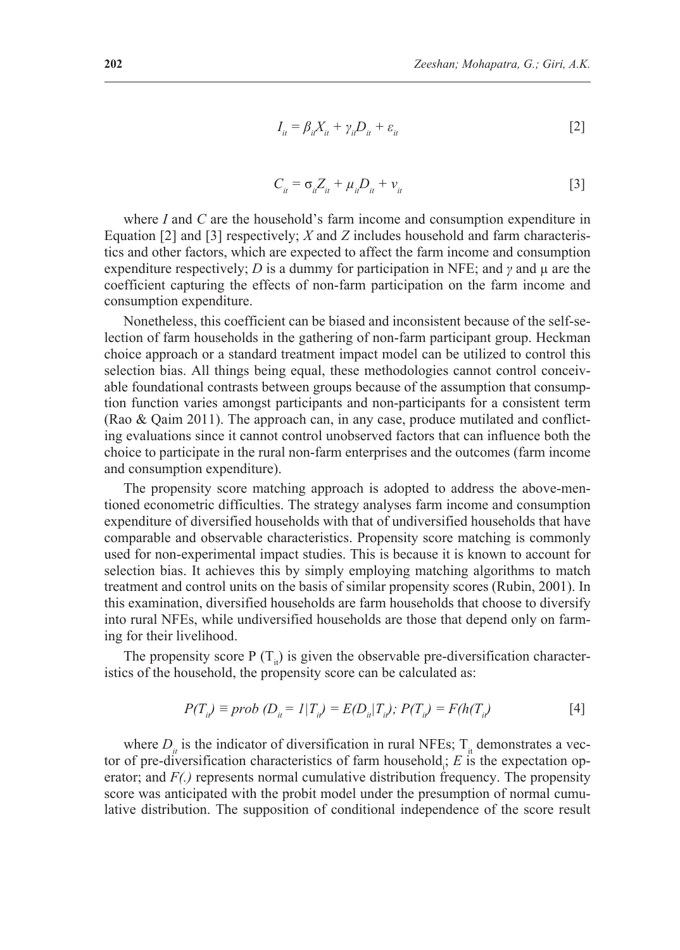$$
I_{it} = \beta_{it} X_{it} + \gamma_{it} D_{it} + \varepsilon_{it}
$$
\n<sup>(2)</sup>

$$
C_{ii} = \sigma_{ii} Z_{ii} + \mu_{ii} D_{ii} + \nu_{ii}
$$
 [3]

where *I* and *C* are the household's farm income and consumption expenditure in Equation [2] and [3] respectively; *X* and *Z* includes household and farm characteristics and other factors, which are expected to affect the farm income and consumption expenditure respectively; *D* is a dummy for participation in NFE; and *γ* and µ are the coefficient capturing the effects of non-farm participation on the farm income and consumption expenditure.

Nonetheless, this coefficient can be biased and inconsistent because of the self-selection of farm households in the gathering of non-farm participant group. Heckman choice approach or a standard treatment impact model can be utilized to control this selection bias. All things being equal, these methodologies cannot control conceivable foundational contrasts between groups because of the assumption that consumption function varies amongst participants and non-participants for a consistent term (Rao & Qaim 2011). The approach can, in any case, produce mutilated and conflicting evaluations since it cannot control unobserved factors that can influence both the choice to participate in the rural non-farm enterprises and the outcomes (farm income and consumption expenditure).

The propensity score matching approach is adopted to address the above-mentioned econometric difficulties. The strategy analyses farm income and consumption expenditure of diversified households with that of undiversified households that have comparable and observable characteristics. Propensity score matching is commonly used for non-experimental impact studies. This is because it is known to account for selection bias. It achieves this by simply employing matching algorithms to match treatment and control units on the basis of similar propensity scores (Rubin, 2001). In this examination, diversified households are farm households that choose to diversify into rural NFEs, while undiversified households are those that depend only on farming for their livelihood.

The propensity score P  $(T_i)$  is given the observable pre-diversification characteristics of the household, the propensity score can be calculated as:

$$
P(T_{i}) \equiv prob (D_{i} = 1 | T_{i}) = E(D_{i} | T_{i}), \ P(T_{i}) = F(h(T_{i}) \tag{4}
$$

where  $D_{ii}$  is the indicator of diversification in rural NFEs;  $T_{ii}$  demonstrates a vector of pre-diversification characteristics of farm household<sub>1</sub>,  $E$  is the expectation operator; and *F(.)* represents normal cumulative distribution frequency. The propensity score was anticipated with the probit model under the presumption of normal cumulative distribution. The supposition of conditional independence of the score result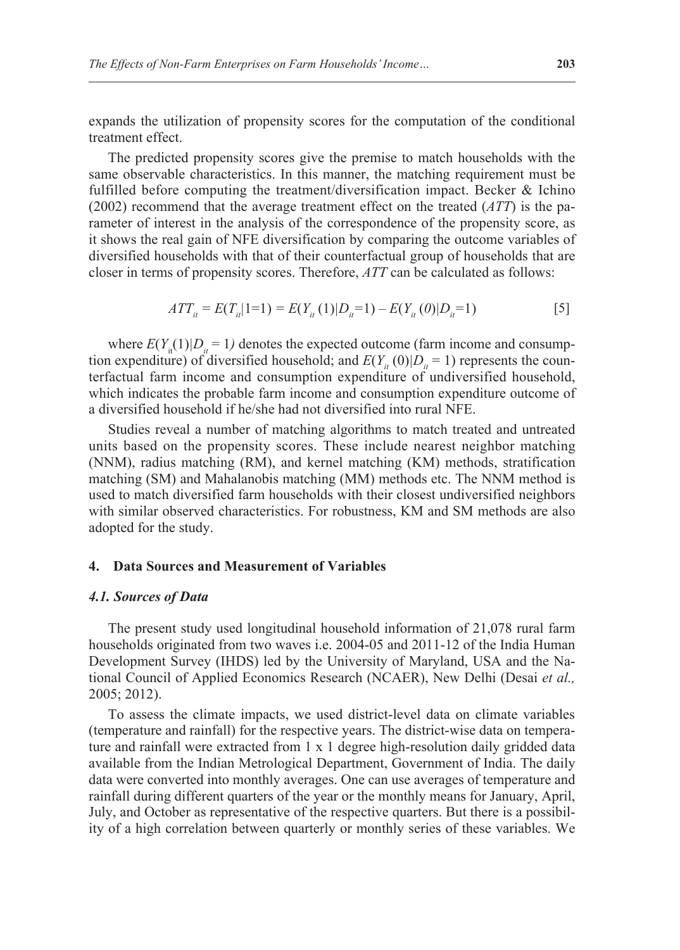expands the utilization of propensity scores for the computation of the conditional treatment effect.

The predicted propensity scores give the premise to match households with the same observable characteristics. In this manner, the matching requirement must be fulfilled before computing the treatment/diversification impact. Becker & Ichino (2002) recommend that the average treatment effect on the treated (*ATT*) is the parameter of interest in the analysis of the correspondence of the propensity score, as it shows the real gain of NFE diversification by comparing the outcome variables of diversified households with that of their counterfactual group of households that are closer in terms of propensity scores. Therefore, *ATT* can be calculated as follows:

$$
ATT_{it} = E(T_{it}|1=1) = E(Y_{it}(1)|D_{it}=1) - E(Y_{it}(0)|D_{it}=1)
$$
\n<sup>(5)</sup>

where  $E(Y_{i}(1)|D_{i} = 1)$  denotes the expected outcome (farm income and consumption expenditure) of diversified household; and  $E(Y_i(0)|D_i = 1)$  represents the counterfactual farm income and consumption expenditure of undiversified household, which indicates the probable farm income and consumption expenditure outcome of a diversified household if he/she had not diversified into rural NFE.

Studies reveal a number of matching algorithms to match treated and untreated units based on the propensity scores. These include nearest neighbor matching (NNM), radius matching (RM), and kernel matching (KM) methods, stratification matching (SM) and Mahalanobis matching (MM) methods etc. The NNM method is used to match diversified farm households with their closest undiversified neighbors with similar observed characteristics. For robustness, KM and SM methods are also adopted for the study.

#### **4. Data Sources and Measurement of Variables**

#### *4.1. Sources of Data*

The present study used longitudinal household information of 21,078 rural farm households originated from two waves i.e. 2004-05 and 2011-12 of the India Human Development Survey (IHDS) led by the University of Maryland, USA and the National Council of Applied Economics Research (NCAER), New Delhi (Desai *et al.,* 2005; 2012).

To assess the climate impacts, we used district-level data on climate variables (temperature and rainfall) for the respective years. The district-wise data on temperature and rainfall were extracted from 1 x 1 degree high-resolution daily gridded data available from the Indian Metrological Department, Government of India. The daily data were converted into monthly averages. One can use averages of temperature and rainfall during different quarters of the year or the monthly means for January, April, July, and October as representative of the respective quarters. But there is a possibility of a high correlation between quarterly or monthly series of these variables. We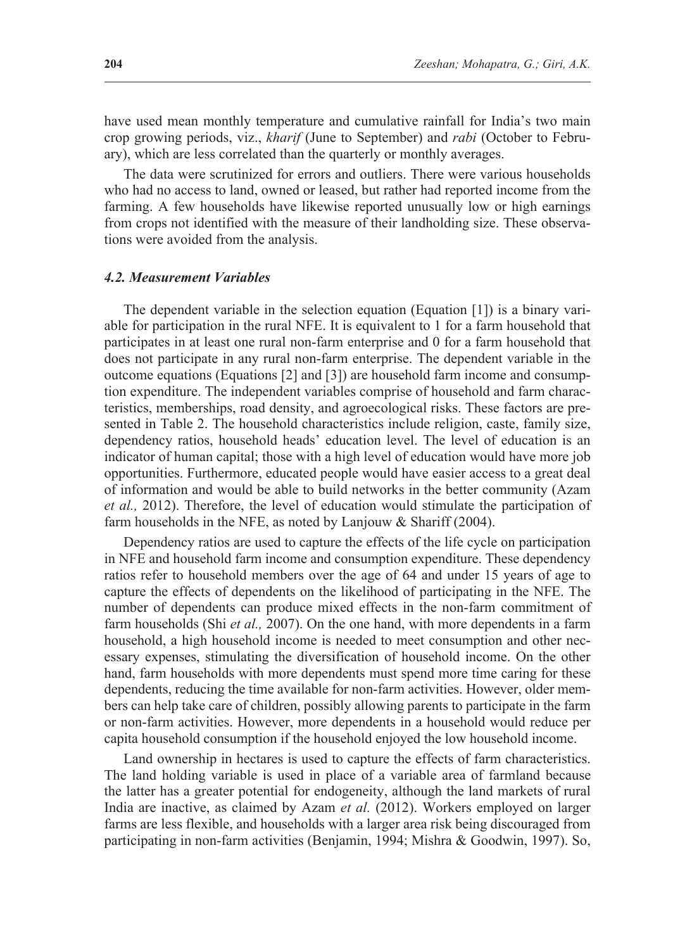have used mean monthly temperature and cumulative rainfall for India's two main crop growing periods, viz., *kharif* (June to September) and *rabi* (October to February), which are less correlated than the quarterly or monthly averages.

The data were scrutinized for errors and outliers. There were various households who had no access to land, owned or leased, but rather had reported income from the farming. A few households have likewise reported unusually low or high earnings from crops not identified with the measure of their landholding size. These observations were avoided from the analysis.

#### *4.2. Measurement Variables*

The dependent variable in the selection equation (Equation [1]) is a binary variable for participation in the rural NFE. It is equivalent to 1 for a farm household that participates in at least one rural non-farm enterprise and 0 for a farm household that does not participate in any rural non-farm enterprise. The dependent variable in the outcome equations (Equations [2] and [3]) are household farm income and consumption expenditure. The independent variables comprise of household and farm characteristics, memberships, road density, and agroecological risks. These factors are presented in Table 2. The household characteristics include religion, caste, family size, dependency ratios, household heads' education level. The level of education is an indicator of human capital; those with a high level of education would have more job opportunities. Furthermore, educated people would have easier access to a great deal of information and would be able to build networks in the better community (Azam *et al.,* 2012). Therefore, the level of education would stimulate the participation of farm households in the NFE, as noted by Lanjouw & Shariff (2004).

Dependency ratios are used to capture the effects of the life cycle on participation in NFE and household farm income and consumption expenditure. These dependency ratios refer to household members over the age of 64 and under 15 years of age to capture the effects of dependents on the likelihood of participating in the NFE. The number of dependents can produce mixed effects in the non-farm commitment of farm households (Shi *et al.,* 2007). On the one hand, with more dependents in a farm household, a high household income is needed to meet consumption and other necessary expenses, stimulating the diversification of household income. On the other hand, farm households with more dependents must spend more time caring for these dependents, reducing the time available for non-farm activities. However, older members can help take care of children, possibly allowing parents to participate in the farm or non-farm activities. However, more dependents in a household would reduce per capita household consumption if the household enjoyed the low household income.

Land ownership in hectares is used to capture the effects of farm characteristics. The land holding variable is used in place of a variable area of farmland because the latter has a greater potential for endogeneity, although the land markets of rural India are inactive, as claimed by Azam *et al.* (2012). Workers employed on larger farms are less flexible, and households with a larger area risk being discouraged from participating in non-farm activities (Benjamin, 1994; Mishra & Goodwin, 1997). So,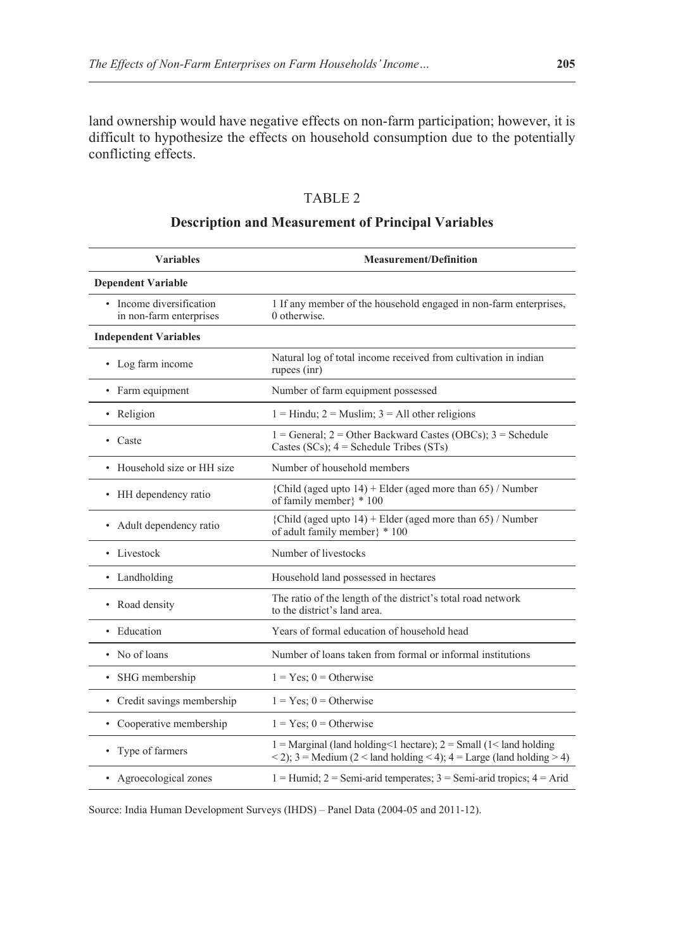land ownership would have negative effects on non-farm participation; however, it is difficult to hypothesize the effects on household consumption due to the potentially conflicting effects.

## TABLE 2

## **Description and Measurement of Principal Variables**

| <b>Variables</b>                                    | <b>Measurement/Definition</b>                                                                                                                                                                       |
|-----------------------------------------------------|-----------------------------------------------------------------------------------------------------------------------------------------------------------------------------------------------------|
| <b>Dependent Variable</b>                           |                                                                                                                                                                                                     |
| • Income diversification<br>in non-farm enterprises | 1 If any member of the household engaged in non-farm enterprises,<br>$0$ otherwise.                                                                                                                 |
| <b>Independent Variables</b>                        |                                                                                                                                                                                                     |
| • Log farm income                                   | Natural log of total income received from cultivation in indian<br>rupees (inr)                                                                                                                     |
| • Farm equipment                                    | Number of farm equipment possessed                                                                                                                                                                  |
| • Religion                                          | $1 =$ Hindu; $2 =$ Muslim; $3 =$ All other religions                                                                                                                                                |
| • Caste                                             | $1 = \text{General}$ ; $2 = \text{Other Backward Cases (OBCs)}$ ; $3 = \text{Scheduling}$<br>Castes (SCs); $4 =$ Schedule Tribes (STs)                                                              |
| • Household size or HH size                         | Number of household members                                                                                                                                                                         |
| • HH dependency ratio                               | {Child (aged upto $14$ ) + Elder (aged more than 65) / Number<br>of family member} * 100                                                                                                            |
| Adult dependency ratio<br>٠                         | {Child (aged upto $14$ ) + Elder (aged more than 65) / Number<br>of adult family member} * 100                                                                                                      |
| • Livestock                                         | Number of livestocks                                                                                                                                                                                |
| • Landholding                                       | Household land possessed in hectares                                                                                                                                                                |
| Road density<br>٠                                   | The ratio of the length of the district's total road network<br>to the district's land area.                                                                                                        |
| • Education                                         | Years of formal education of household head                                                                                                                                                         |
| • No of loans                                       | Number of loans taken from formal or informal institutions                                                                                                                                          |
| SHG membership<br>٠                                 | $1 = Yes$ ; $0 = Otherwise$                                                                                                                                                                         |
| • Credit savings membership                         | $1 = Yes$ ; $0 = Otherwise$                                                                                                                                                                         |
| • Cooperative membership                            | $1 = Yes$ ; $0 = Otherwise$                                                                                                                                                                         |
| • Type of farmers                                   | $1 =$ Marginal (land holding<1 hectare); $2 =$ Small (1<1 and holding<br>$\langle 2 \rangle$ ; 3 = Medium (2 $\langle 1 \rangle$ land holding $\langle 4 \rangle$ ; 4 = Large (land holding $> 4$ ) |
| • Agroecological zones                              | $1 =$ Humid; $2 =$ Semi-arid temperates; $3 =$ Semi-arid tropics; $4 =$ Arid                                                                                                                        |

Source: India Human Development Surveys (IHDS) – Panel Data (2004-05 and 2011-12).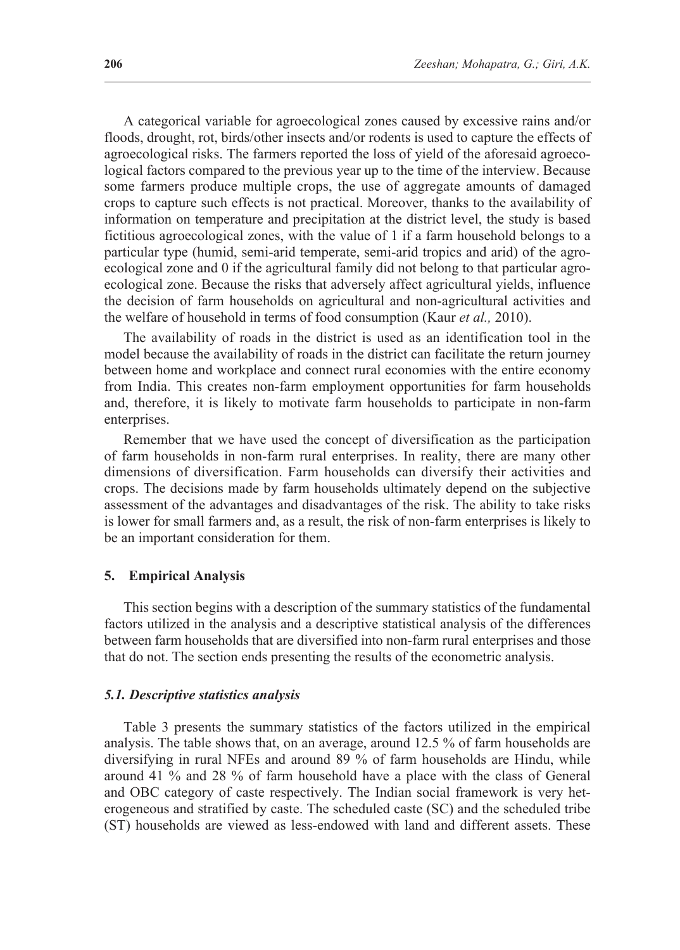A categorical variable for agroecological zones caused by excessive rains and/or floods, drought, rot, birds/other insects and/or rodents is used to capture the effects of agroecological risks. The farmers reported the loss of yield of the aforesaid agroecological factors compared to the previous year up to the time of the interview. Because some farmers produce multiple crops, the use of aggregate amounts of damaged crops to capture such effects is not practical. Moreover, thanks to the availability of information on temperature and precipitation at the district level, the study is based fictitious agroecological zones, with the value of 1 if a farm household belongs to a particular type (humid, semi-arid temperate, semi-arid tropics and arid) of the agroecological zone and 0 if the agricultural family did not belong to that particular agroecological zone. Because the risks that adversely affect agricultural yields, influence the decision of farm households on agricultural and non-agricultural activities and the welfare of household in terms of food consumption (Kaur *et al.,* 2010).

The availability of roads in the district is used as an identification tool in the model because the availability of roads in the district can facilitate the return journey between home and workplace and connect rural economies with the entire economy from India. This creates non-farm employment opportunities for farm households and, therefore, it is likely to motivate farm households to participate in non-farm enterprises.

Remember that we have used the concept of diversification as the participation of farm households in non-farm rural enterprises. In reality, there are many other dimensions of diversification. Farm households can diversify their activities and crops. The decisions made by farm households ultimately depend on the subjective assessment of the advantages and disadvantages of the risk. The ability to take risks is lower for small farmers and, as a result, the risk of non-farm enterprises is likely to be an important consideration for them.

#### **5. Empirical Analysis**

This section begins with a description of the summary statistics of the fundamental factors utilized in the analysis and a descriptive statistical analysis of the differences between farm households that are diversified into non-farm rural enterprises and those that do not. The section ends presenting the results of the econometric analysis.

#### *5.1. Descriptive statistics analysis*

Table 3 presents the summary statistics of the factors utilized in the empirical analysis. The table shows that, on an average, around 12.5 % of farm households are diversifying in rural NFEs and around 89 % of farm households are Hindu, while around 41 % and 28 % of farm household have a place with the class of General and OBC category of caste respectively. The Indian social framework is very heterogeneous and stratified by caste. The scheduled caste (SC) and the scheduled tribe (ST) households are viewed as less-endowed with land and different assets. These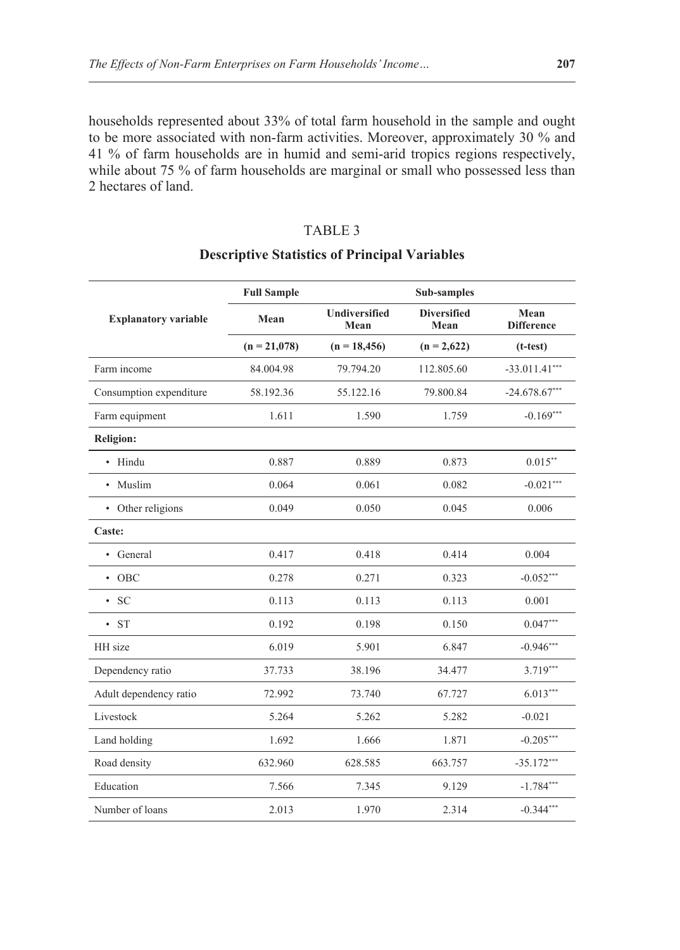households represented about 33% of total farm household in the sample and ought to be more associated with non-farm activities. Moreover, approximately 30 % and 41 % of farm households are in humid and semi-arid tropics regions respectively, while about 75 % of farm households are marginal or small who possessed less than 2 hectares of land.

## TABLE 3

|                             | <b>Full Sample</b> |                              | Sub-samples                |                           |
|-----------------------------|--------------------|------------------------------|----------------------------|---------------------------|
| <b>Explanatory variable</b> | Mean               | <b>Undiversified</b><br>Mean | <b>Diversified</b><br>Mean | Mean<br><b>Difference</b> |
|                             | $(n = 21,078)$     | $(n = 18,456)$               | $(n = 2,622)$              | $(t-test)$                |
| Farm income                 | 84.004.98          | 79.794.20                    | 112.805.60                 | $-33.011.41***$           |
| Consumption expenditure     | 58.192.36          | 55.122.16                    | 79.800.84                  | $-24.678.67***$           |
| Farm equipment              | 1.611              | 1.590                        | 1.759                      | $-0.169***$               |
| <b>Religion:</b>            |                    |                              |                            |                           |
| • Hindu                     | 0.887              | 0.889                        | 0.873                      | $0.015***$                |
| • Muslim                    | 0.064              | 0.061                        | 0.082                      | $-0.021***$               |
| • Other religions           | 0.049              | 0.050                        | 0.045                      | 0.006                     |
| Caste:                      |                    |                              |                            |                           |
| • General                   | 0.417              | 0.418                        | 0.414                      | 0.004                     |
| $\cdot$ OBC                 | 0.278              | 0.271                        | 0.323                      | $-0.052***$               |
| $\cdot$ SC                  | 0.113              | 0.113                        | 0.113                      | 0.001                     |
| $\cdot$ ST                  | 0.192              | 0.198                        | 0.150                      | $0.047***$                |
| HH size                     | 6.019              | 5.901                        | 6.847                      | $-0.946***$               |
| Dependency ratio            | 37.733             | 38.196                       | 34.477                     | $3.719***$                |
| Adult dependency ratio      | 72.992             | 73.740                       | 67.727                     | $6.013***$                |
| Livestock                   | 5.264              | 5.262                        | 5.282                      | $-0.021$                  |
| Land holding                | 1.692              | 1.666                        | 1.871                      | $-0.205***$               |
| Road density                | 632.960            | 628.585                      | 663.757                    | $-35.172***$              |
| Education                   | 7.566              | 7.345                        | 9.129                      | $-1.784***$               |
| Number of loans             | 2.013              | 1.970                        | 2.314                      | $-0.344***$               |

## **Descriptive Statistics of Principal Variables**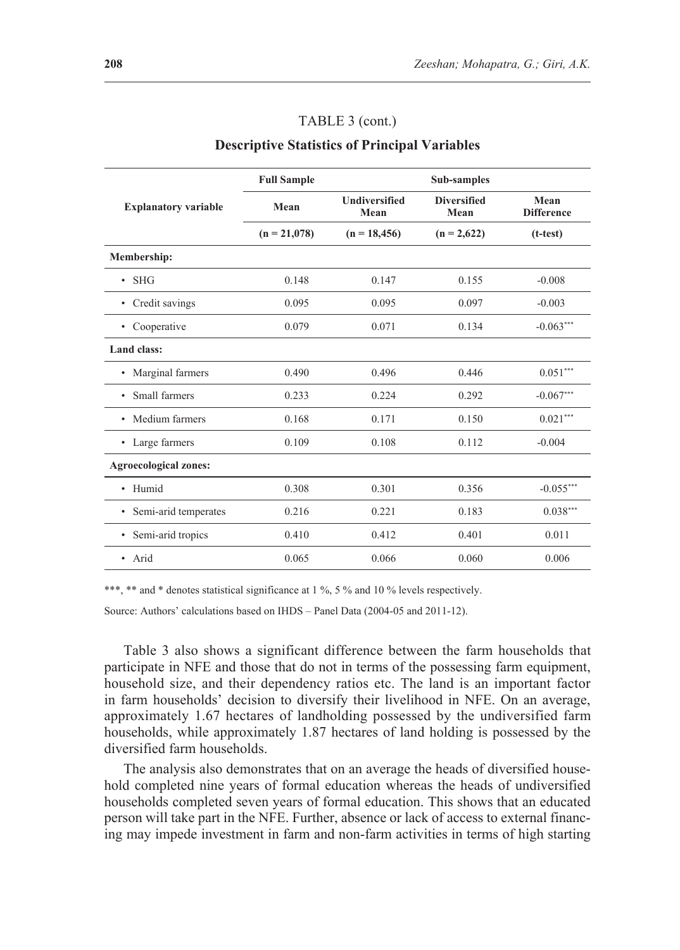#### TABLE 3 (cont.)

#### **Descriptive Statistics of Principal Variables**

|                              | <b>Full Sample</b> |                              | Sub-samples                |                           |
|------------------------------|--------------------|------------------------------|----------------------------|---------------------------|
| <b>Explanatory variable</b>  | Mean               | <b>Undiversified</b><br>Mean | <b>Diversified</b><br>Mean | Mean<br><b>Difference</b> |
|                              | $(n = 21,078)$     | $(n = 18,456)$               | $(n = 2,622)$              | $(t-test)$                |
| Membership:                  |                    |                              |                            |                           |
| <b>SHG</b><br>٠              | 0.148              | 0.147                        | 0.155                      | $-0.008$                  |
| Credit savings<br>٠          | 0.095              | 0.095                        | 0.097                      | $-0.003$                  |
| Cooperative<br>$\bullet$     | 0.079              | 0.071                        | 0.134                      | $-0.063***$               |
| Land class:                  |                    |                              |                            |                           |
| Marginal farmers<br>٠        | 0.490              | 0.496                        | 0.446                      | $0.051***$                |
| Small farmers<br>٠           | 0.233              | 0.224                        | 0.292                      | $-0.067***$               |
| Medium farmers<br>٠          | 0.168              | 0.171                        | 0.150                      | $0.021***$                |
| • Large farmers              | 0.109              | 0.108                        | 0.112                      | $-0.004$                  |
| <b>Agroecological zones:</b> |                    |                              |                            |                           |
| • Humid                      | 0.308              | 0.301                        | 0.356                      | $-0.055***$               |
| Semi-arid temperates<br>٠    | 0.216              | 0.221                        | 0.183                      | $0.038***$                |
| Semi-arid tropics<br>٠       | 0.410              | 0.412                        | 0.401                      | 0.011                     |
| • Arid                       | 0.065              | 0.066                        | 0.060                      | 0.006                     |

\*\*\*, \*\* and \* denotes statistical significance at 1 %, 5 % and 10 % levels respectively.

Source: Authors' calculations based on IHDS – Panel Data (2004-05 and 2011-12).

Table 3 also shows a significant difference between the farm households that participate in NFE and those that do not in terms of the possessing farm equipment, household size, and their dependency ratios etc. The land is an important factor in farm households' decision to diversify their livelihood in NFE. On an average, approximately 1.67 hectares of landholding possessed by the undiversified farm households, while approximately 1.87 hectares of land holding is possessed by the diversified farm households.

The analysis also demonstrates that on an average the heads of diversified household completed nine years of formal education whereas the heads of undiversified households completed seven years of formal education. This shows that an educated person will take part in the NFE. Further, absence or lack of access to external financing may impede investment in farm and non-farm activities in terms of high starting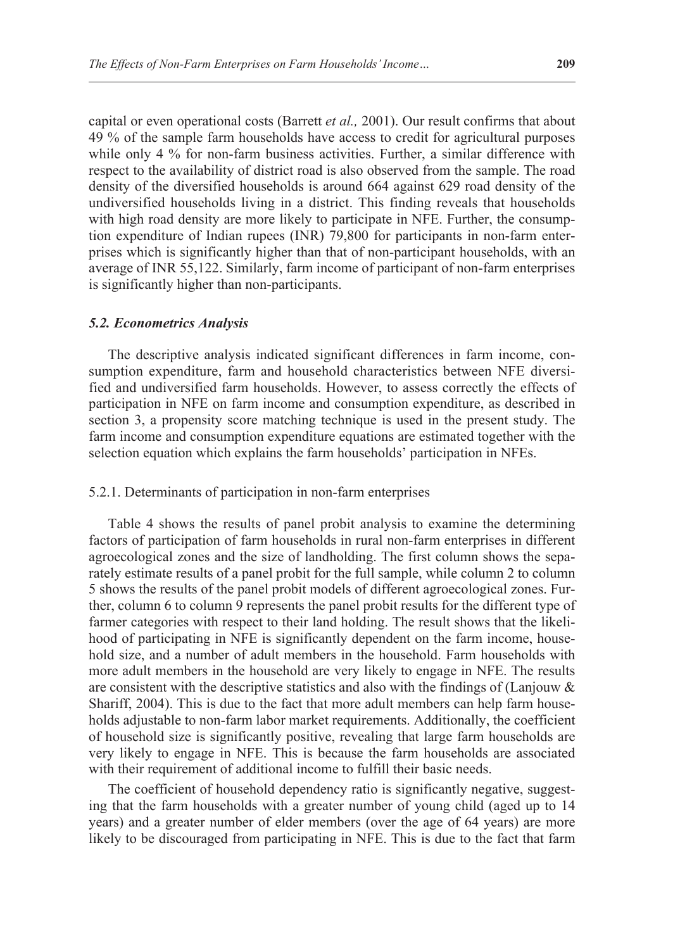capital or even operational costs (Barrett *et al.,* 2001). Our result confirms that about 49 % of the sample farm households have access to credit for agricultural purposes while only 4 % for non-farm business activities. Further, a similar difference with respect to the availability of district road is also observed from the sample. The road density of the diversified households is around 664 against 629 road density of the undiversified households living in a district. This finding reveals that households with high road density are more likely to participate in NFE. Further, the consumption expenditure of Indian rupees (INR) 79,800 for participants in non-farm enterprises which is significantly higher than that of non-participant households, with an average of INR 55,122. Similarly, farm income of participant of non-farm enterprises is significantly higher than non-participants.

#### *5.2. Econometrics Analysis*

The descriptive analysis indicated significant differences in farm income, consumption expenditure, farm and household characteristics between NFE diversified and undiversified farm households. However, to assess correctly the effects of participation in NFE on farm income and consumption expenditure, as described in section 3, a propensity score matching technique is used in the present study. The farm income and consumption expenditure equations are estimated together with the selection equation which explains the farm households' participation in NFEs.

### 5.2.1. Determinants of participation in non-farm enterprises

Table 4 shows the results of panel probit analysis to examine the determining factors of participation of farm households in rural non-farm enterprises in different agroecological zones and the size of landholding. The first column shows the separately estimate results of a panel probit for the full sample, while column 2 to column 5 shows the results of the panel probit models of different agroecological zones. Further, column 6 to column 9 represents the panel probit results for the different type of farmer categories with respect to their land holding. The result shows that the likelihood of participating in NFE is significantly dependent on the farm income, household size, and a number of adult members in the household. Farm households with more adult members in the household are very likely to engage in NFE. The results are consistent with the descriptive statistics and also with the findings of (Lanjouw  $\&$ Shariff, 2004). This is due to the fact that more adult members can help farm households adjustable to non-farm labor market requirements. Additionally, the coefficient of household size is significantly positive, revealing that large farm households are very likely to engage in NFE. This is because the farm households are associated with their requirement of additional income to fulfill their basic needs.

The coefficient of household dependency ratio is significantly negative, suggesting that the farm households with a greater number of young child (aged up to 14 years) and a greater number of elder members (over the age of 64 years) are more likely to be discouraged from participating in NFE. This is due to the fact that farm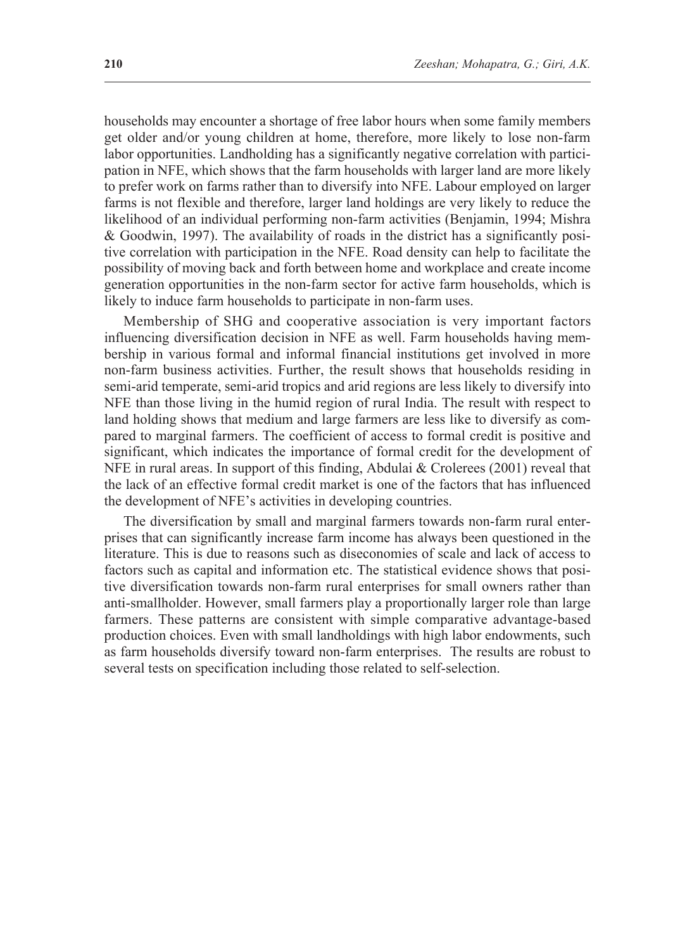households may encounter a shortage of free labor hours when some family members get older and/or young children at home, therefore, more likely to lose non-farm labor opportunities. Landholding has a significantly negative correlation with participation in NFE, which shows that the farm households with larger land are more likely to prefer work on farms rather than to diversify into NFE. Labour employed on larger farms is not flexible and therefore, larger land holdings are very likely to reduce the likelihood of an individual performing non-farm activities (Benjamin, 1994; Mishra & Goodwin, 1997). The availability of roads in the district has a significantly positive correlation with participation in the NFE. Road density can help to facilitate the possibility of moving back and forth between home and workplace and create income generation opportunities in the non-farm sector for active farm households, which is likely to induce farm households to participate in non-farm uses.

Membership of SHG and cooperative association is very important factors influencing diversification decision in NFE as well. Farm households having membership in various formal and informal financial institutions get involved in more non-farm business activities. Further, the result shows that households residing in semi-arid temperate, semi-arid tropics and arid regions are less likely to diversify into NFE than those living in the humid region of rural India. The result with respect to land holding shows that medium and large farmers are less like to diversify as compared to marginal farmers. The coefficient of access to formal credit is positive and significant, which indicates the importance of formal credit for the development of NFE in rural areas. In support of this finding, Abdulai & Crolerees (2001) reveal that the lack of an effective formal credit market is one of the factors that has influenced the development of NFE's activities in developing countries.

The diversification by small and marginal farmers towards non-farm rural enterprises that can significantly increase farm income has always been questioned in the literature. This is due to reasons such as diseconomies of scale and lack of access to factors such as capital and information etc. The statistical evidence shows that positive diversification towards non-farm rural enterprises for small owners rather than anti-smallholder. However, small farmers play a proportionally larger role than large farmers. These patterns are consistent with simple comparative advantage-based production choices. Even with small landholdings with high labor endowments, such as farm households diversify toward non-farm enterprises. The results are robust to several tests on specification including those related to self-selection.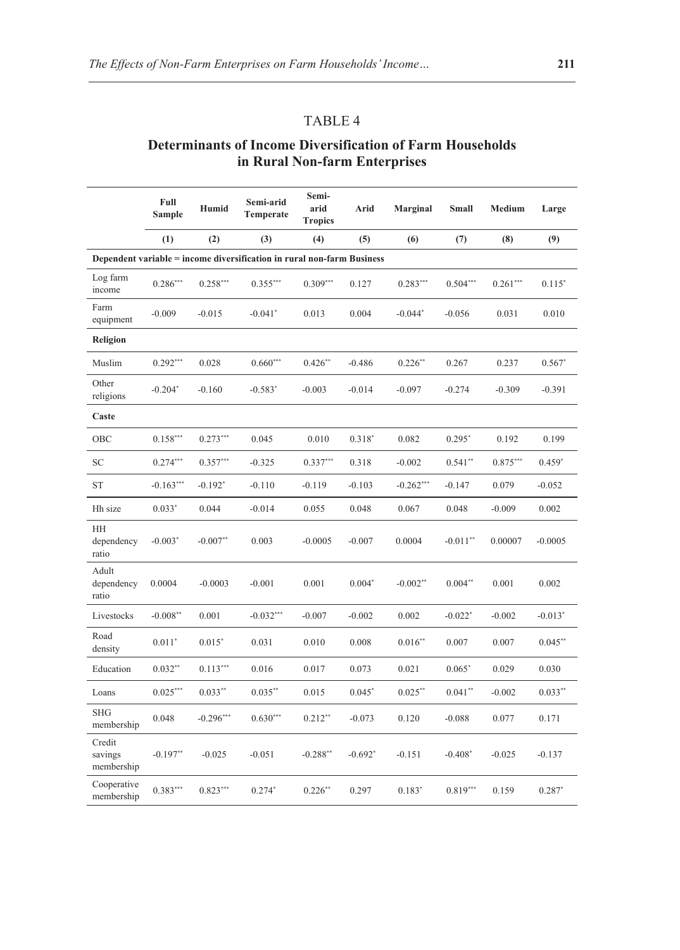## TABLE 4

## **Determinants of Income Diversification of Farm Households in Rural Non-farm Enterprises**

|                                 | Full<br>Sample | Humid         | Semi-arid<br>Temperate                                                 | Semi-<br>arid<br><b>Tropics</b> | Arid      | <b>Marginal</b> | Small      | Medium     | Large     |
|---------------------------------|----------------|---------------|------------------------------------------------------------------------|---------------------------------|-----------|-----------------|------------|------------|-----------|
|                                 | (1)            | (2)           | (3)                                                                    | (4)                             | (5)       | (6)             | (7)        | (8)        | (9)       |
|                                 |                |               | Dependent variable = income diversification in rural non-farm Business |                                 |           |                 |            |            |           |
| Log farm<br>income              | $0.286***$     | $0.258***$    | $0.355***$                                                             | $0.309***$                      | 0.127     | $0.283***$      | $0.504***$ | $0.261***$ | $0.115*$  |
| Farm<br>equipment               | $-0.009$       | $-0.015$      | $-0.041*$                                                              | 0.013                           | 0.004     | $-0.044*$       | $-0.056$   | 0.031      | 0.010     |
| Religion                        |                |               |                                                                        |                                 |           |                 |            |            |           |
| Muslim                          | $0.292***$     | 0.028         | $0.660***$                                                             | $0.426**$                       | $-0.486$  | $0.226**$       | 0.267      | 0.237      | $0.567*$  |
| Other<br>religions              | $-0.204*$      | $-0.160$      | $-0.583*$                                                              | $-0.003$                        | $-0.014$  | $-0.097$        | $-0.274$   | $-0.309$   | $-0.391$  |
| Caste                           |                |               |                                                                        |                                 |           |                 |            |            |           |
| OBC                             | $0.158***$     | $0.273***$    | 0.045                                                                  | 0.010                           | $0.318*$  | 0.082           | $0.295*$   | 0.192      | 0.199     |
| <b>SC</b>                       | $0.274***$     | $0.357***$    | $-0.325$                                                               | $0.337***$                      | 0.318     | $-0.002$        | $0.541**$  | $0.875***$ | $0.459*$  |
| <b>ST</b>                       | $-0.163***$    | $-0.192*$     | $-0.110$                                                               | $-0.119$                        | $-0.103$  | $-0.262***$     | $-0.147$   | 0.079      | $-0.052$  |
| Hh size                         | $0.033*$       | 0.044         | $-0.014$                                                               | 0.055                           | 0.048     | 0.067           | 0.048      | $-0.009$   | 0.002     |
| HH<br>dependency<br>ratio       | $-0.003*$      | $-0.007**$    | 0.003                                                                  | $-0.0005$                       | $-0.007$  | 0.0004          | $-0.011**$ | 0.00007    | $-0.0005$ |
| Adult<br>dependency<br>ratio    | 0.0004         | $-0.0003$     | $-0.001$                                                               | 0.001                           | $0.004*$  | $-0.002**$      | $0.004**$  | 0.001      | 0.002     |
| Livestocks                      | $-0.008**$     | 0.001         | $-0.032***$                                                            | $-0.007$                        | $-0.002$  | 0.002           | $-0.022*$  | $-0.002$   | $-0.013*$ |
| Road<br>density                 | $0.011*$       | $0.015*$      | 0.031                                                                  | 0.010                           | 0.008     | $0.016**$       | 0.007      | 0.007      | $0.045**$ |
| Education                       | $0.032**$      | $0.113^{***}$ | 0.016                                                                  | 0.017                           | 0.073     | 0.021           | $0.065*$   | 0.029      | 0.030     |
| Loans                           | $0.025***$     | $0.033**$     | $0.035***$                                                             | 0.015                           | $0.045*$  | $0.025***$      | $0.041**$  | $-0.002$   | $0.033**$ |
| <b>SHG</b><br>membership        | 0.048          | $-0.296***$   | $0.630***$                                                             | $0.212**$                       | $-0.073$  | 0.120           | $-0.088$   | 0.077      | 0.171     |
| Credit<br>savings<br>membership | $-0.197**$     | $-0.025$      | $-0.051$                                                               | $-0.288**$                      | $-0.692*$ | $-0.151$        | $-0.408*$  | $-0.025$   | $-0.137$  |
| Cooperative<br>membership       | $0.383***$     | $0.823***$    | $0.274*$                                                               | $0.226**$                       | 0.297     | $0.183*$        | $0.819***$ | 0.159      | $0.287*$  |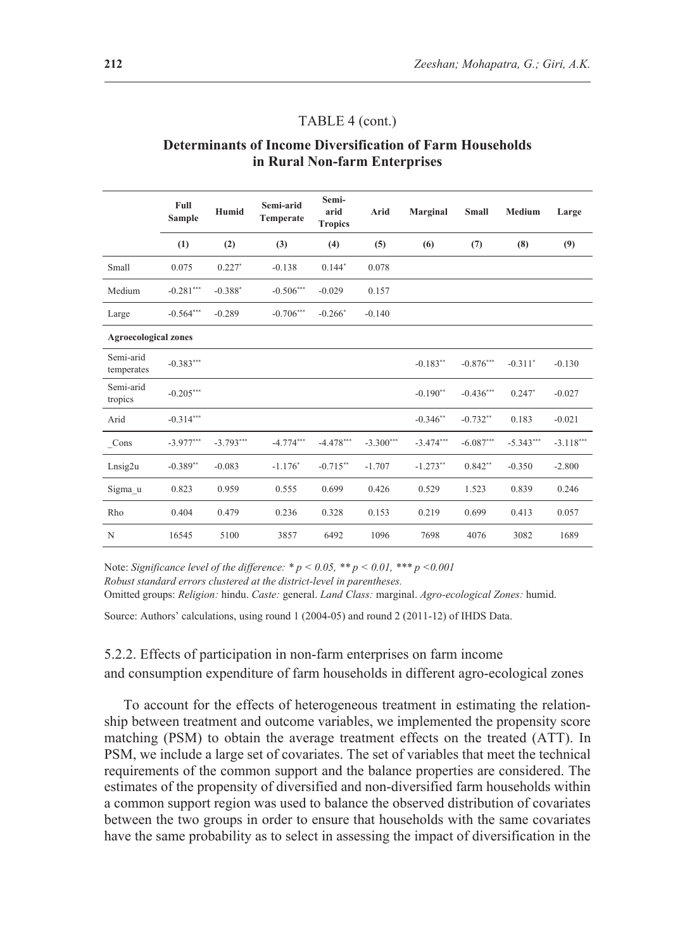#### TABLE 4 (cont.)

### **Determinants of Income Diversification of Farm Households in Rural Non-farm Enterprises**

|                             | Full<br><b>Sample</b> | Humid                 | Semi-arid<br>Temperate | Semi-<br>arid<br><b>Tropics</b> | Arid        | Marginal    | <b>Small</b> | <b>Medium</b> | Large       |
|-----------------------------|-----------------------|-----------------------|------------------------|---------------------------------|-------------|-------------|--------------|---------------|-------------|
|                             | (1)                   | (2)                   | (3)                    | (4)                             | (5)         | (6)         | (7)          | (8)           | (9)         |
| Small                       | 0.075                 | $0.227*$              | $-0.138$               | $0.144*$                        | 0.078       |             |              |               |             |
| Medium                      | $-0.281***$           | $-0.388$ <sup>*</sup> | $-0.506***$            | $-0.029$                        | 0.157       |             |              |               |             |
| Large                       | $-0.564***$           | $-0.289$              | $-0.706***$            | $-0.266*$                       | $-0.140$    |             |              |               |             |
| <b>Agroecological zones</b> |                       |                       |                        |                                 |             |             |              |               |             |
| Semi-arid<br>temperates     | $-0.383***$           |                       |                        |                                 |             | $-0.183**$  | $-0.876***$  | $-0.311*$     | $-0.130$    |
| Semi-arid<br>tropics        | $-0.205***$           |                       |                        |                                 |             | $-0.190**$  | $-0.436***$  | $0.247*$      | $-0.027$    |
| Arid                        | $-0.314***$           |                       |                        |                                 |             | $-0.346**$  | $-0.732**$   | 0.183         | $-0.021$    |
| Cons                        | $-3.977***$           | $-3.793***$           | $-4.774***$            | $-4.478***$                     | $-3.300***$ | $-3.474***$ | $-6.087***$  | $-5.343***$   | $-3.118***$ |
| Lnsig2u                     | $-0.389**$            | $-0.083$              | $-1.176*$              | $-0.715**$                      | $-1.707$    | $-1.273**$  | $0.842**$    | $-0.350$      | $-2.800$    |
| Sigma u                     | 0.823                 | 0.959                 | 0.555                  | 0.699                           | 0.426       | 0.529       | 1.523        | 0.839         | 0.246       |
| Rho                         | 0.404                 | 0.479                 | 0.236                  | 0.328                           | 0.153       | 0.219       | 0.699        | 0.413         | 0.057       |
| N                           | 16545                 | 5100                  | 3857                   | 6492                            | 1096        | 7698        | 4076         | 3082          | 1689        |

Note: *Significance level of the difference: \* p < 0.05, \*\* p < 0.01, \*\*\* p <0.001 Robust standard errors clustered at the district-level in parentheses.*

Omitted groups: *Religion:* hindu. *Caste:* general. *Land Class:* marginal. *Agro-ecological Zones:* humid.

Source: Authors' calculations, using round 1 (2004-05) and round 2 (2011-12) of IHDS Data.

## 5.2.2. Effects of participation in non-farm enterprises on farm income and consumption expenditure of farm households in different agro-ecological zones

To account for the effects of heterogeneous treatment in estimating the relationship between treatment and outcome variables, we implemented the propensity score matching (PSM) to obtain the average treatment effects on the treated (ATT). In PSM, we include a large set of covariates. The set of variables that meet the technical requirements of the common support and the balance properties are considered. The estimates of the propensity of diversified and non-diversified farm households within a common support region was used to balance the observed distribution of covariates between the two groups in order to ensure that households with the same covariates have the same probability as to select in assessing the impact of diversification in the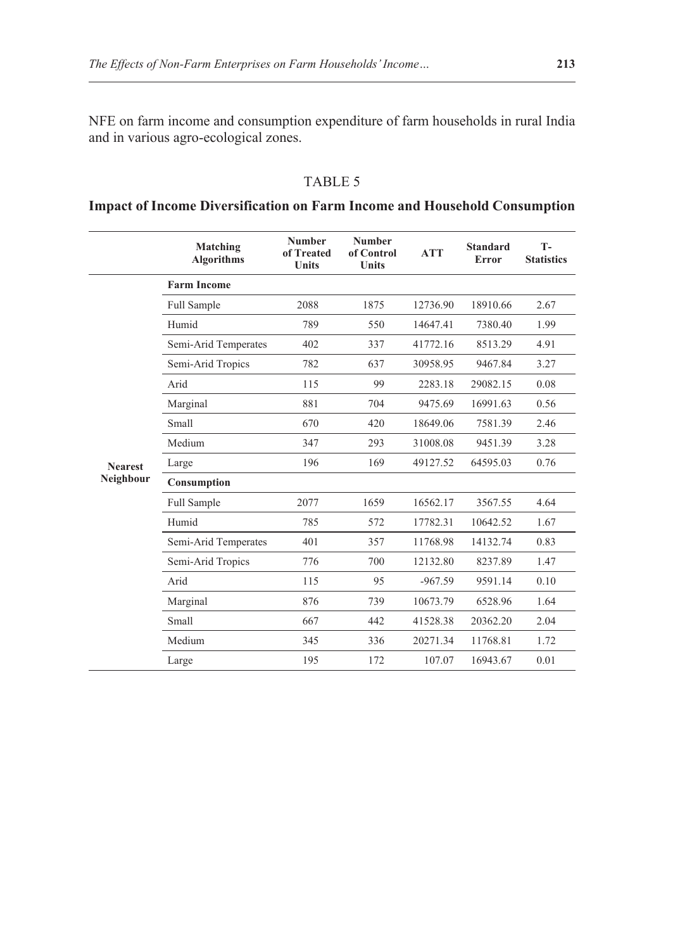NFE on farm income and consumption expenditure of farm households in rural India and in various agro-ecological zones.

## TABLE 5

## **Impact of Income Diversification on Farm Income and Household Consumption**

|                | Matching<br><b>Algorithms</b> | <b>Number</b><br>of Treated<br><b>Units</b> | <b>Number</b><br>of Control<br><b>Units</b> | <b>ATT</b> | <b>Standard</b><br>Error | $T -$<br><b>Statistics</b> |
|----------------|-------------------------------|---------------------------------------------|---------------------------------------------|------------|--------------------------|----------------------------|
|                | <b>Farm Income</b>            |                                             |                                             |            |                          |                            |
|                | Full Sample                   | 2088                                        | 1875                                        | 12736.90   | 18910.66                 | 2.67                       |
|                | Humid                         | 789                                         | 550                                         | 14647.41   | 7380.40                  | 1.99                       |
|                | Semi-Arid Temperates          | 402                                         | 337                                         | 41772.16   | 8513.29                  | 4.91                       |
|                | Semi-Arid Tropics             | 782                                         | 637                                         | 30958.95   | 9467.84                  | 3.27                       |
|                | Arid                          | 115                                         | 99                                          | 2283.18    | 29082.15                 | 0.08                       |
|                | Marginal                      | 881                                         | 704                                         | 9475.69    | 16991.63                 | 0.56                       |
|                | Small                         | 670                                         | 420                                         | 18649.06   | 7581.39                  | 2.46                       |
|                | Medium                        | 347                                         | 293                                         | 31008.08   | 9451.39                  | 3.28                       |
| <b>Nearest</b> | Large                         | 196                                         | 169                                         | 49127.52   | 64595.03                 | 0.76                       |
| Neighbour      | Consumption                   |                                             |                                             |            |                          |                            |
|                | Full Sample                   | 2077                                        | 1659                                        | 16562.17   | 3567.55                  | 4.64                       |
|                | Humid                         | 785                                         | 572                                         | 17782.31   | 10642.52                 | 1.67                       |
|                | Semi-Arid Temperates          | 401                                         | 357                                         | 11768.98   | 14132.74                 | 0.83                       |
|                | Semi-Arid Tropics             | 776                                         | 700                                         | 12132.80   | 8237.89                  | 1.47                       |
|                | Arid                          | 115                                         | 95                                          | $-967.59$  | 9591.14                  | 0.10                       |
|                | Marginal                      | 876                                         | 739                                         | 10673.79   | 6528.96                  | 1.64                       |
|                | Small                         | 667                                         | 442                                         | 41528.38   | 20362.20                 | 2.04                       |
|                | Medium                        | 345                                         | 336                                         | 20271.34   | 11768.81                 | 1.72                       |
|                | Large                         | 195                                         | 172                                         | 107.07     | 16943.67                 | 0.01                       |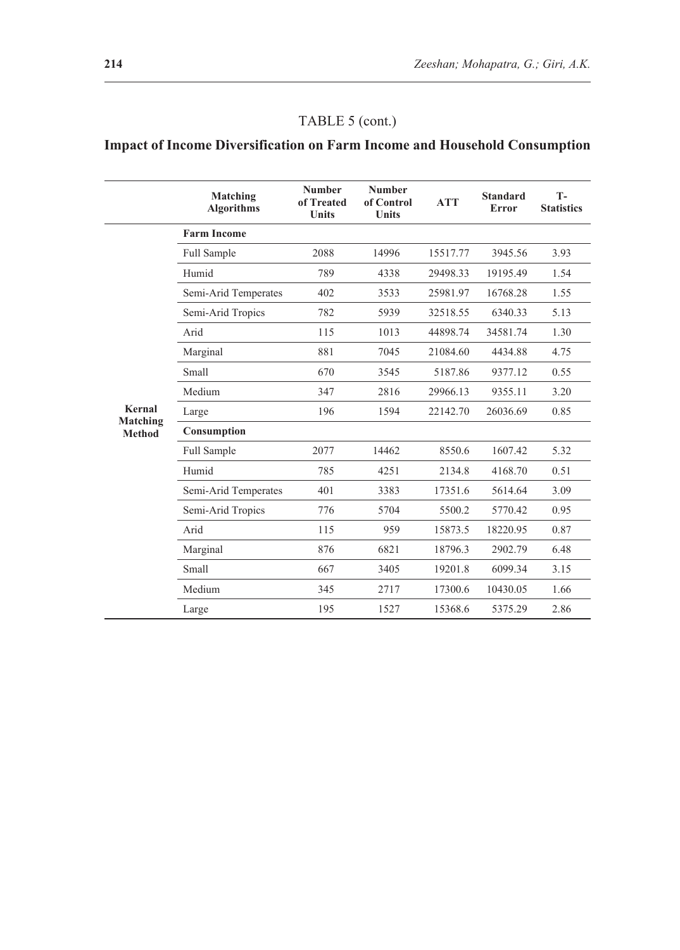## TABLE 5 (cont.)

## **Impact of Income Diversification on Farm Income and Household Consumption**

|                    | Matching<br><b>Algorithms</b> | <b>Number</b><br>of Treated<br><b>Units</b> | <b>Number</b><br>of Control<br><b>Units</b> | <b>ATT</b> | <b>Standard</b><br>Error | $T -$<br><b>Statistics</b> |
|--------------------|-------------------------------|---------------------------------------------|---------------------------------------------|------------|--------------------------|----------------------------|
|                    | <b>Farm Income</b>            |                                             |                                             |            |                          |                            |
|                    | Full Sample                   | 2088                                        | 14996                                       | 15517.77   | 3945.56                  | 3.93                       |
|                    | Humid                         | 789                                         | 4338                                        | 29498.33   | 19195.49                 | 1.54                       |
|                    | Semi-Arid Temperates          | 402                                         | 3533                                        | 25981.97   | 16768.28                 | 1.55                       |
|                    | Semi-Arid Tropics             | 782                                         | 5939                                        | 32518.55   | 6340.33                  | 5.13                       |
|                    | Arid                          | 115                                         | 1013                                        | 44898.74   | 34581.74                 | 1.30                       |
|                    | Marginal                      | 881                                         | 7045                                        | 21084.60   | 4434.88                  | 4.75                       |
|                    | Small                         | 670                                         | 3545                                        | 5187.86    | 9377.12                  | 0.55                       |
|                    | Medium                        | 347                                         | 2816                                        | 29966.13   | 9355.11                  | 3.20                       |
| Kernal<br>Matching | Large                         | 196                                         | 1594                                        | 22142.70   | 26036.69                 | 0.85                       |
| <b>Method</b>      | Consumption                   |                                             |                                             |            |                          |                            |
|                    | Full Sample                   | 2077                                        | 14462                                       | 8550.6     | 1607.42                  | 5.32                       |
|                    | Humid                         | 785                                         | 4251                                        | 2134.8     | 4168.70                  | 0.51                       |
|                    | Semi-Arid Temperates          | 401                                         | 3383                                        | 17351.6    | 5614.64                  | 3.09                       |
|                    | Semi-Arid Tropics             | 776                                         | 5704                                        | 5500.2     | 5770.42                  | 0.95                       |
|                    | Arid                          | 115                                         | 959                                         | 15873.5    | 18220.95                 | 0.87                       |
|                    | Marginal                      | 876                                         | 6821                                        | 18796.3    | 2902.79                  | 6.48                       |
|                    | Small                         | 667                                         | 3405                                        | 19201.8    | 6099.34                  | 3.15                       |
|                    | Medium                        | 345                                         | 2717                                        | 17300.6    | 10430.05                 | 1.66                       |
|                    | Large                         | 195                                         | 1527                                        | 15368.6    | 5375.29                  | 2.86                       |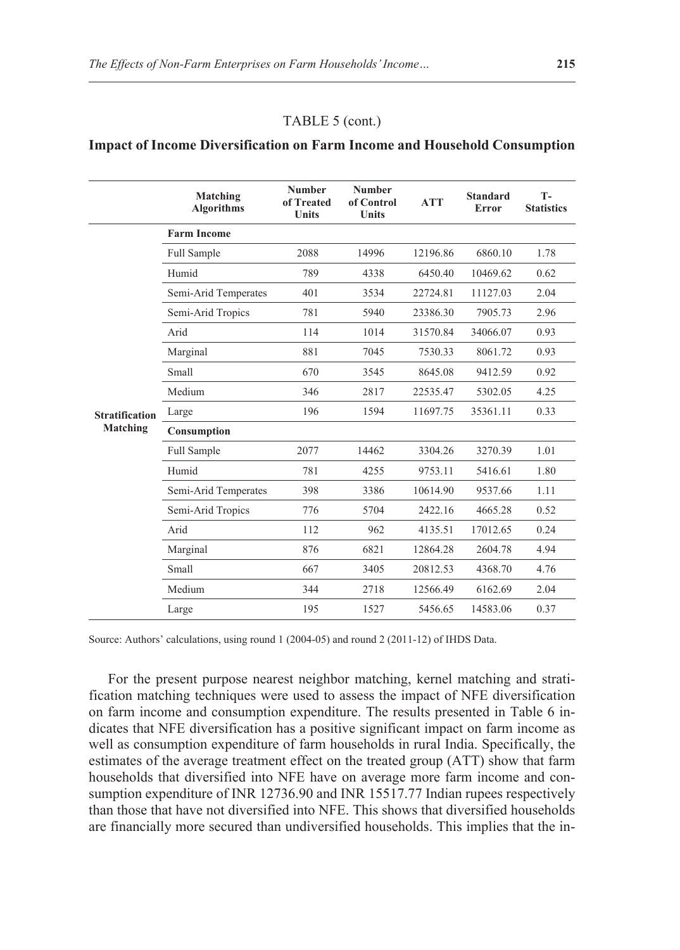#### TABLE 5 (cont.)

#### **Impact of Income Diversification on Farm Income and Household Consumption**

|                                   | Matching<br><b>Algorithms</b> | <b>Number</b><br>of Treated<br><b>Units</b> | <b>Number</b><br>of Control<br><b>Units</b> | <b>ATT</b> | <b>Standard</b><br>Error | $T -$<br><b>Statistics</b> |
|-----------------------------------|-------------------------------|---------------------------------------------|---------------------------------------------|------------|--------------------------|----------------------------|
|                                   | <b>Farm Income</b>            |                                             |                                             |            |                          |                            |
|                                   | <b>Full Sample</b>            | 2088                                        | 14996                                       | 12196.86   | 6860.10                  | 1.78                       |
|                                   | Humid                         | 789                                         | 4338                                        | 6450.40    | 10469.62                 | 0.62                       |
|                                   | Semi-Arid Temperates          | 401                                         | 3534                                        | 22724.81   | 11127.03                 | 2.04                       |
|                                   | Semi-Arid Tropics             | 781                                         | 5940                                        | 23386.30   | 7905.73                  | 2.96                       |
|                                   | Arid                          | 114                                         | 1014                                        | 31570.84   | 34066.07                 | 0.93                       |
|                                   | Marginal                      | 881                                         | 7045                                        | 7530.33    | 8061.72                  | 0.93                       |
|                                   | Small                         | 670                                         | 3545                                        | 8645.08    | 9412.59                  | 0.92                       |
| <b>Stratification</b><br>Matching | Medium                        | 346                                         | 2817                                        | 22535.47   | 5302.05                  | 4.25                       |
|                                   | Large                         | 196                                         | 1594                                        | 11697.75   | 35361.11                 | 0.33                       |
|                                   | Consumption                   |                                             |                                             |            |                          |                            |
|                                   | Full Sample                   | 2077                                        | 14462                                       | 3304.26    | 3270.39                  | 1.01                       |
|                                   | Humid                         | 781                                         | 4255                                        | 9753.11    | 5416.61                  | 1.80                       |
|                                   | Semi-Arid Temperates          | 398                                         | 3386                                        | 10614.90   | 9537.66                  | 1.11                       |
|                                   | Semi-Arid Tropics             | 776                                         | 5704                                        | 2422.16    | 4665.28                  | 0.52                       |
|                                   | Arid                          | 112                                         | 962                                         | 4135.51    | 17012.65                 | 0.24                       |
|                                   | Marginal                      | 876                                         | 6821                                        | 12864.28   | 2604.78                  | 4.94                       |
|                                   | Small                         | 667                                         | 3405                                        | 20812.53   | 4368.70                  | 4.76                       |
|                                   | Medium                        | 344                                         | 2718                                        | 12566.49   | 6162.69                  | 2.04                       |
|                                   | Large                         | 195                                         | 1527                                        | 5456.65    | 14583.06                 | 0.37                       |

Source: Authors' calculations, using round 1 (2004-05) and round 2 (2011-12) of IHDS Data.

For the present purpose nearest neighbor matching, kernel matching and stratification matching techniques were used to assess the impact of NFE diversification on farm income and consumption expenditure. The results presented in Table 6 indicates that NFE diversification has a positive significant impact on farm income as well as consumption expenditure of farm households in rural India. Specifically, the estimates of the average treatment effect on the treated group (ATT) show that farm households that diversified into NFE have on average more farm income and consumption expenditure of INR 12736.90 and INR 15517.77 Indian rupees respectively than those that have not diversified into NFE. This shows that diversified households are financially more secured than undiversified households. This implies that the in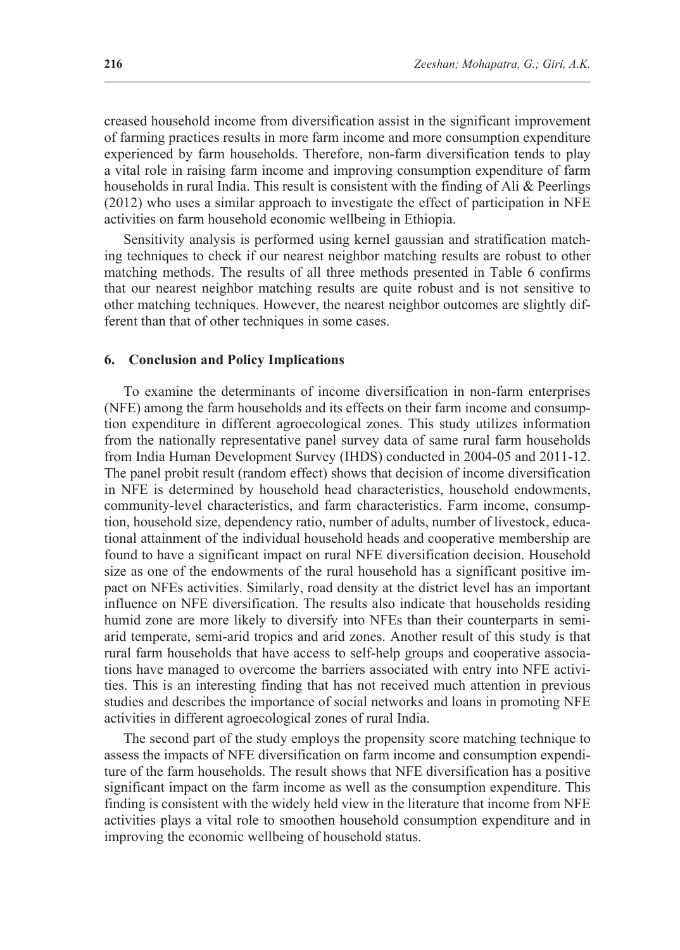creased household income from diversification assist in the significant improvement of farming practices results in more farm income and more consumption expenditure experienced by farm households. Therefore, non-farm diversification tends to play a vital role in raising farm income and improving consumption expenditure of farm households in rural India. This result is consistent with the finding of Ali & Peerlings (2012) who uses a similar approach to investigate the effect of participation in NFE activities on farm household economic wellbeing in Ethiopia.

Sensitivity analysis is performed using kernel gaussian and stratification matching techniques to check if our nearest neighbor matching results are robust to other matching methods. The results of all three methods presented in Table 6 confirms that our nearest neighbor matching results are quite robust and is not sensitive to other matching techniques. However, the nearest neighbor outcomes are slightly different than that of other techniques in some cases.

#### **6. Conclusion and Policy Implications**

To examine the determinants of income diversification in non-farm enterprises (NFE) among the farm households and its effects on their farm income and consumption expenditure in different agroecological zones. This study utilizes information from the nationally representative panel survey data of same rural farm households from India Human Development Survey (IHDS) conducted in 2004-05 and 2011-12. The panel probit result (random effect) shows that decision of income diversification in NFE is determined by household head characteristics, household endowments, community-level characteristics, and farm characteristics. Farm income, consumption, household size, dependency ratio, number of adults, number of livestock, educational attainment of the individual household heads and cooperative membership are found to have a significant impact on rural NFE diversification decision. Household size as one of the endowments of the rural household has a significant positive impact on NFEs activities. Similarly, road density at the district level has an important influence on NFE diversification. The results also indicate that households residing humid zone are more likely to diversify into NFEs than their counterparts in semiarid temperate, semi-arid tropics and arid zones. Another result of this study is that rural farm households that have access to self-help groups and cooperative associations have managed to overcome the barriers associated with entry into NFE activities. This is an interesting finding that has not received much attention in previous studies and describes the importance of social networks and loans in promoting NFE activities in different agroecological zones of rural India.

The second part of the study employs the propensity score matching technique to assess the impacts of NFE diversification on farm income and consumption expenditure of the farm households. The result shows that NFE diversification has a positive significant impact on the farm income as well as the consumption expenditure. This finding is consistent with the widely held view in the literature that income from NFE activities plays a vital role to smoothen household consumption expenditure and in improving the economic wellbeing of household status.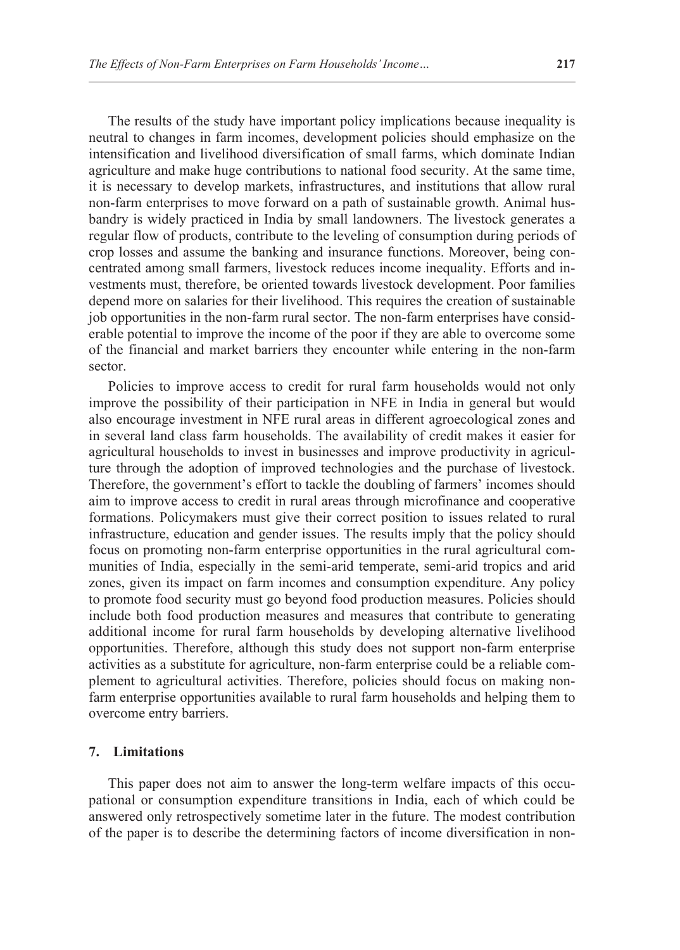The results of the study have important policy implications because inequality is neutral to changes in farm incomes, development policies should emphasize on the intensification and livelihood diversification of small farms, which dominate Indian agriculture and make huge contributions to national food security. At the same time, it is necessary to develop markets, infrastructures, and institutions that allow rural non-farm enterprises to move forward on a path of sustainable growth. Animal husbandry is widely practiced in India by small landowners. The livestock generates a regular flow of products, contribute to the leveling of consumption during periods of crop losses and assume the banking and insurance functions. Moreover, being concentrated among small farmers, livestock reduces income inequality. Efforts and investments must, therefore, be oriented towards livestock development. Poor families depend more on salaries for their livelihood. This requires the creation of sustainable job opportunities in the non-farm rural sector. The non-farm enterprises have considerable potential to improve the income of the poor if they are able to overcome some of the financial and market barriers they encounter while entering in the non-farm sector.

Policies to improve access to credit for rural farm households would not only improve the possibility of their participation in NFE in India in general but would also encourage investment in NFE rural areas in different agroecological zones and in several land class farm households. The availability of credit makes it easier for agricultural households to invest in businesses and improve productivity in agriculture through the adoption of improved technologies and the purchase of livestock. Therefore, the government's effort to tackle the doubling of farmers' incomes should aim to improve access to credit in rural areas through microfinance and cooperative formations. Policymakers must give their correct position to issues related to rural infrastructure, education and gender issues. The results imply that the policy should focus on promoting non-farm enterprise opportunities in the rural agricultural communities of India, especially in the semi-arid temperate, semi-arid tropics and arid zones, given its impact on farm incomes and consumption expenditure. Any policy to promote food security must go beyond food production measures. Policies should include both food production measures and measures that contribute to generating additional income for rural farm households by developing alternative livelihood opportunities. Therefore, although this study does not support non-farm enterprise activities as a substitute for agriculture, non-farm enterprise could be a reliable complement to agricultural activities. Therefore, policies should focus on making nonfarm enterprise opportunities available to rural farm households and helping them to overcome entry barriers.

### **7. Limitations**

This paper does not aim to answer the long-term welfare impacts of this occupational or consumption expenditure transitions in India, each of which could be answered only retrospectively sometime later in the future. The modest contribution of the paper is to describe the determining factors of income diversification in non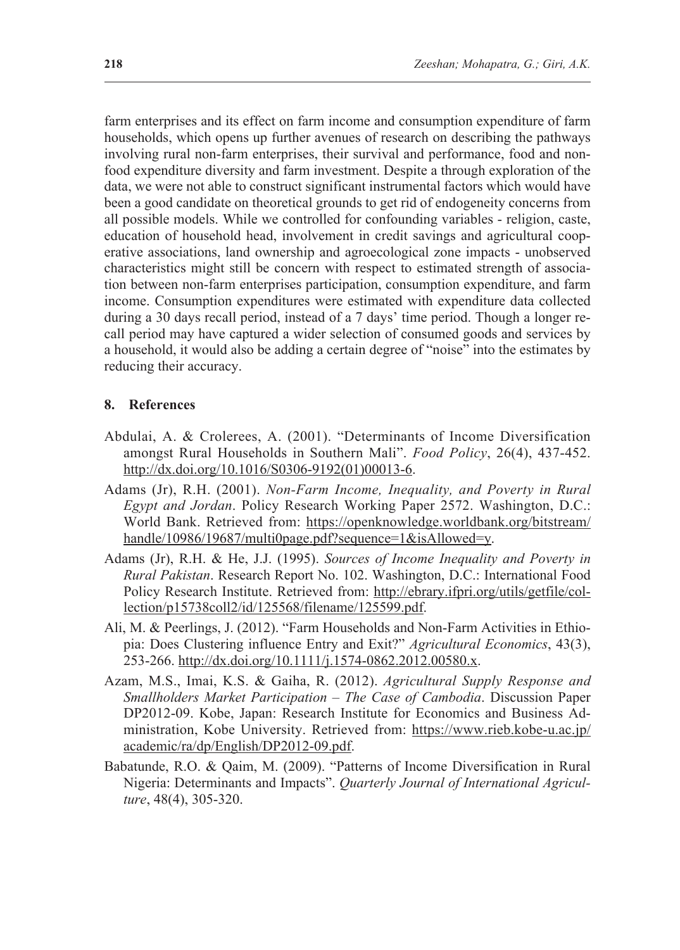farm enterprises and its effect on farm income and consumption expenditure of farm households, which opens up further avenues of research on describing the pathways involving rural non-farm enterprises, their survival and performance, food and nonfood expenditure diversity and farm investment. Despite a through exploration of the data, we were not able to construct significant instrumental factors which would have been a good candidate on theoretical grounds to get rid of endogeneity concerns from all possible models. While we controlled for confounding variables - religion, caste, education of household head, involvement in credit savings and agricultural cooperative associations, land ownership and agroecological zone impacts - unobserved characteristics might still be concern with respect to estimated strength of association between non-farm enterprises participation, consumption expenditure, and farm income. Consumption expenditures were estimated with expenditure data collected during a 30 days recall period, instead of a 7 days' time period. Though a longer recall period may have captured a wider selection of consumed goods and services by a household, it would also be adding a certain degree of "noise" into the estimates by reducing their accuracy.

#### **8. References**

- Abdulai, A. & Crolerees, A. (2001). "Determinants of Income Diversification amongst Rural Households in Southern Mali". *Food Policy*, 26(4), 437-452. [http://dx.doi.org/10.1016/S0306-9192\(01\)00013-6.](https://www.sciencedirect.com/science/article/abs/pii/S0306919201000136?via%3Dihub)
- Adams (Jr), R.H. (2001). *Non-Farm Income, Inequality, and Poverty in Rural Egypt and Jordan*. Policy Research Working Paper 2572. Washington, D.C.: World Bank. Retrieved from: [https://openknowledge.worldbank.org/bitstream/](https://openknowledge.worldbank.org/bitstream/handle/10986/19687/multi0page.pdf?sequence=1&isAllowed=y) [handle/10986/19687/multi0page.pdf?sequence=1&isAllowed=y.](https://openknowledge.worldbank.org/bitstream/handle/10986/19687/multi0page.pdf?sequence=1&isAllowed=y)
- Adams (Jr), R.H. & He, J.J. (1995). *Sources of Income Inequality and Poverty in Rural Pakistan*. Research Report No. 102. Washington, D.C.: International Food Policy Research Institute. Retrieved from: [http://ebrary.ifpri.org/utils/getfile/col](http://ebrary.ifpri.org/utils/getfile/collection/p15738coll2/id/125568/filename/125599.pdf)[lection/p15738coll2/id/125568/filename/125599.pdf.](http://ebrary.ifpri.org/utils/getfile/collection/p15738coll2/id/125568/filename/125599.pdf)
- Ali, M. & Peerlings, J. (2012). "Farm Households and Non-Farm Activities in Ethiopia: Does Clustering influence Entry and Exit?" *Agricultural Economics*, 43(3), 253-266. [http://dx.doi.org/10.1111/j.1574-0862.2012.00580.x.](http://dx.doi.org/10.1111/j.1574-0862.2012.00580.x)
- Azam, M.S., Imai, K.S. & Gaiha, R. (2012). *Agricultural Supply Response and Smallholders Market Participation – The Case of Cambodia*. Discussion Paper DP2012-09. Kobe, Japan: Research Institute for Economics and Business Administration, Kobe University. Retrieved from: [https://www.rieb.kobe-u.ac.jp/](https://www.rieb.kobe-u.ac.jp/academic/ra/dp/English/DP2012-09.pdf) [academic/ra/dp/English/DP2012-09.pdf.](https://www.rieb.kobe-u.ac.jp/academic/ra/dp/English/DP2012-09.pdf)
- Babatunde, R.O. & Qaim, M. (2009). "Patterns of Income Diversification in Rural Nigeria: Determinants and Impacts". *Quarterly Journal of International Agriculture*, 48(4), 305-320.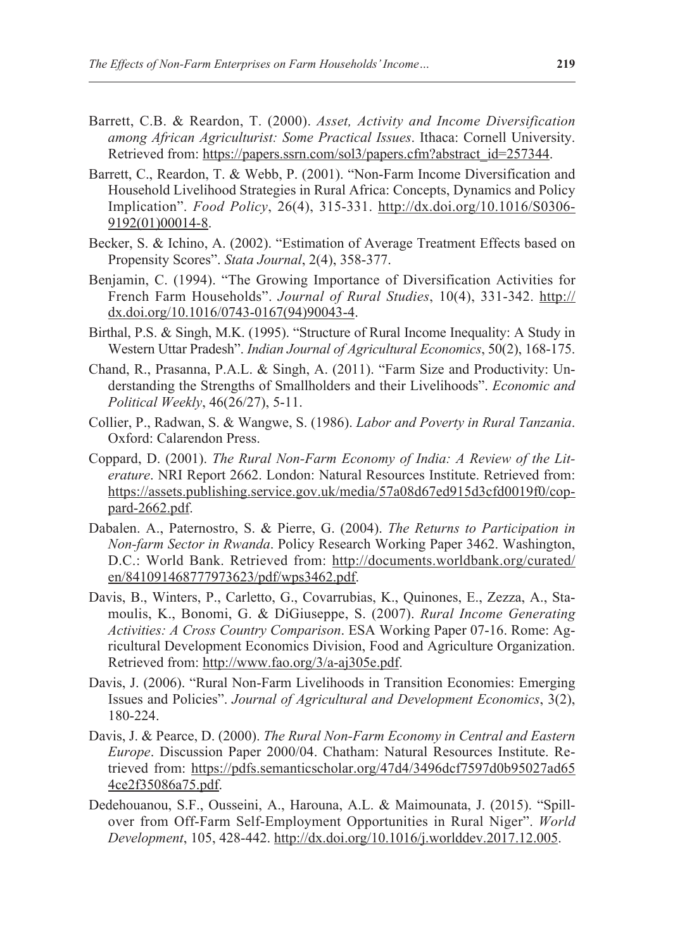- Barrett, C.B. & Reardon, T. (2000). *Asset, Activity and Income Diversification among African Agriculturist: Some Practical Issues*. Ithaca: Cornell University. Retrieved from: [https://papers.ssrn.com/sol3/papers.cfm?abstract\\_id=257344](https://papers.ssrn.com/sol3/papers.cfm?abstract_id=257344).
- Barrett, C., Reardon, T. & Webb, P. (2001). "Non-Farm Income Diversification and Household Livelihood Strategies in Rural Africa: Concepts, Dynamics and Policy Implication". *Food Policy*, 26(4), 315-331. [http://dx.doi.org/10.1016/S0306-](http://dx.doi.org/10.1016/S0306-9192(01)00014-8) [9192\(01\)00014-8.](http://dx.doi.org/10.1016/S0306-9192(01)00014-8)
- Becker, S. & Ichino, A. (2002). "Estimation of Average Treatment Effects based on Propensity Scores". *Stata Journal*, 2(4), 358-377.
- Benjamin, C. (1994). "The Growing Importance of Diversification Activities for French Farm Households". *Journal of Rural Studies*, 10(4), 331-342. [http://](http://dx.doi.org/10.1016/0743-0167(94)90043-4) [dx.doi.org/10.1016/0743-0167\(94\)90043-4](http://dx.doi.org/10.1016/0743-0167(94)90043-4).
- Birthal, P.S. & Singh, M.K. (1995). "Structure of Rural Income Inequality: A Study in Western Uttar Pradesh". *Indian Journal of Agricultural Economics*, 50(2), 168-175.
- Chand, R., Prasanna, P.A.L. & Singh, A. (2011). "Farm Size and Productivity: Understanding the Strengths of Smallholders and their Livelihoods". *Economic and Political Weekly*, 46(26/27), 5-11.
- Collier, P., Radwan, S. & Wangwe, S. (1986). *Labor and Poverty in Rural Tanzania*. Oxford: Calarendon Press.
- Coppard, D. (2001). *The Rural Non-Farm Economy of India: A Review of the Literature*. NRI Report 2662. London: Natural Resources Institute. Retrieved from: [https://assets.publishing.service.gov.uk/media/57a08d67ed915d3cfd0019f0/cop](https://assets.publishing.service.gov.uk/media/57a08d67ed915d3cfd0019f0/coppard-2662.pdf)[pard-2662.pdf](https://assets.publishing.service.gov.uk/media/57a08d67ed915d3cfd0019f0/coppard-2662.pdf).
- Dabalen. A., Paternostro, S. & Pierre, G. (2004). *The Returns to Participation in Non-farm Sector in Rwanda*. Policy Research Working Paper 3462. Washington, D.C.: World Bank. Retrieved from: [http://documents.worldbank.org/curated/](http://documents.worldbank.org/curated/ en/841091468777973623/pdf/wps3462.pdf) [en/841091468777973623/pdf/wps3462.pdf](http://documents.worldbank.org/curated/ en/841091468777973623/pdf/wps3462.pdf).
- Davis, B., Winters, P., Carletto, G., Covarrubias, K., Quinones, E., Zezza, A., Stamoulis, K., Bonomi, G. & DiGiuseppe, S. (2007). *Rural Income Generating Activities: A Cross Country Comparison*. ESA Working Paper 07-16. Rome: Agricultural Development Economics Division, Food and Agriculture Organization. Retrieved from: <http://www.fao.org/3/a-aj305e.pdf>.
- Davis, J. (2006). "Rural Non-Farm Livelihoods in Transition Economies: Emerging Issues and Policies". *Journal of Agricultural and Development Economics*, 3(2), 180-224.
- Davis, J. & Pearce, D. (2000). *The Rural Non-Farm Economy in Central and Eastern Europe*. Discussion Paper 2000/04. Chatham: Natural Resources Institute. Retrieved from: [https://pdfs.semanticscholar.org/47d4/3496dcf7597d0b95027ad65](https://pdfs.semanticscholar.org/47d4/3496dcf7597d0b95027ad654ce2f35086a75.pdf) [4ce2f35086a75.pdf.](https://pdfs.semanticscholar.org/47d4/3496dcf7597d0b95027ad654ce2f35086a75.pdf)
- Dedehouanou, S.F., Ousseini, A., Harouna, A.L. & Maimounata, J. (2015). "Spillover from Off-Farm Self-Employment Opportunities in Rural Niger". *World Development*, 105, 428-442. [http://dx.doi.org/10.1016/j.worlddev.2017.12.005.](http://dx.doi.org/10.1016/j.worlddev.2017.12.005)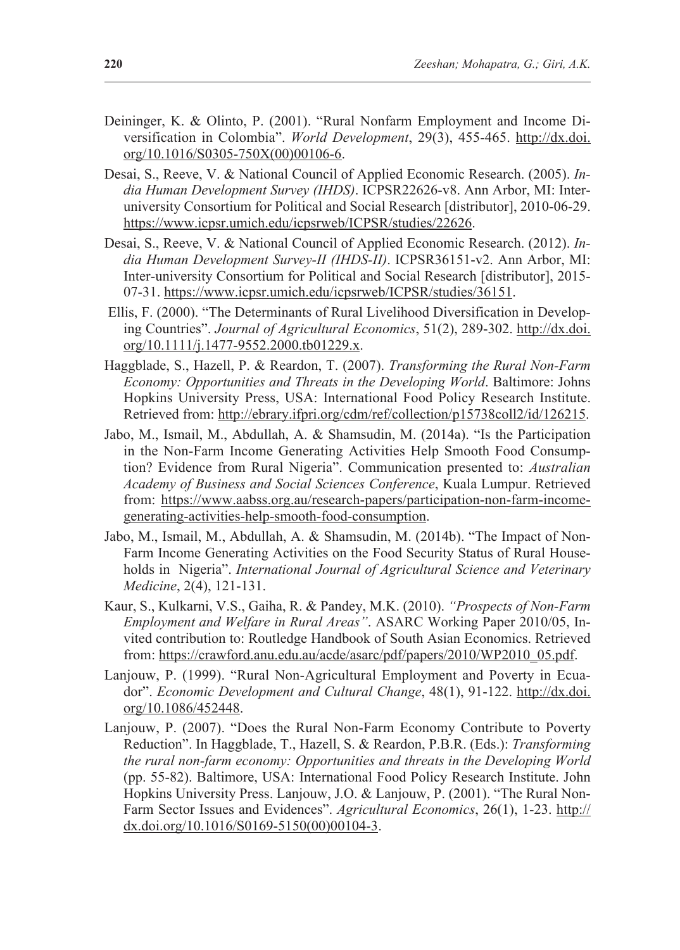- Deininger, K. & Olinto, P. (2001). "Rural Nonfarm Employment and Income Diversification in Colombia". *World Development*, 29(3), 455-465. [http://dx.doi.](http://dx.doi.org/10.1016/S0305-750X(00)00106-6) [org/10.1016/S0305-750X\(00\)00106-6.](http://dx.doi.org/10.1016/S0305-750X(00)00106-6)
- Desai, S., Reeve, V. & National Council of Applied Economic Research. (2005). *India Human Development Survey (IHDS)*. ICPSR22626-v8. Ann Arbor, MI: Interuniversity Consortium for Political and Social Research [distributor], 2010-06-29. <https://www.icpsr.umich.edu/icpsrweb/ICPSR/studies/22626>.
- Desai, S., Reeve, V. & National Council of Applied Economic Research. (2012). *India Human Development Survey-II (IHDS-II)*. ICPSR36151-v2. Ann Arbor, MI: Inter-university Consortium for Political and Social Research [distributor], 2015- 07-31.<https://www.icpsr.umich.edu/icpsrweb/ICPSR/studies/36151>.
- Ellis, F. (2000). "The Determinants of Rural Livelihood Diversification in Developing Countries". *Journal of Agricultural Economics*, 51(2), 289-302. [http://dx.doi.](http://dx.doi.org/10.1111/j.1477-9552.2000.tb01229.x) [org/10.1111/j.1477-9552.2000.tb01229.x](http://dx.doi.org/10.1111/j.1477-9552.2000.tb01229.x).
- Haggblade, S., Hazell, P. & Reardon, T. (2007). *Transforming the Rural Non-Farm Economy: Opportunities and Threats in the Developing World*. Baltimore: Johns Hopkins University Press, USA: International Food Policy Research Institute. Retrieved from:<http://ebrary.ifpri.org/cdm/ref/collection/p15738coll2/id/126215>.
- Jabo, M., Ismail, M., Abdullah, A. & Shamsudin, M. (2014a). "Is the Participation in the Non-Farm Income Generating Activities Help Smooth Food Consumption? Evidence from Rural Nigeria". Communication presented to: *Australian Academy of Business and Social Sciences Conference*, Kuala Lumpur. Retrieved from: [https://www.aabss.org.au/research-papers/participation-non-farm-income](https://www.aabss.org.au/research-papers/participation-non-farm-income-generating-activities-help-smooth-food-consumption)[generating-activities-help-smooth-food-consumption.](https://www.aabss.org.au/research-papers/participation-non-farm-income-generating-activities-help-smooth-food-consumption)
- Jabo, M., Ismail, M., Abdullah, A. & Shamsudin, M. (2014b). "The Impact of Non-Farm Income Generating Activities on the Food Security Status of Rural Households in Nigeria". *International Journal of Agricultural Science and Veterinary Medicine*, 2(4), 121-131.
- Kaur, S., Kulkarni, V.S., Gaiha, R. & Pandey, M.K. (2010). *"Prospects of Non-Farm Employment and Welfare in Rural Areas"*. ASARC Working Paper 2010/05, Invited contribution to: Routledge Handbook of South Asian Economics. Retrieved from: [https://crawford.anu.edu.au/acde/asarc/pdf/papers/2010/WP2010\\_05.pdf.](https://crawford.anu.edu.au/acde/asarc/pdf/papers/2010/WP2010_05.pdf)
- Lanjouw, P. (1999). "Rural Non-Agricultural Employment and Poverty in Ecuador". *Economic Development and Cultural Change*, 48(1), 91-122. [http://dx.doi.](http://dx.doi.org/10.1086/452448) [org/10.1086/452448](http://dx.doi.org/10.1086/452448).
- Lanjouw, P. (2007). "Does the Rural Non-Farm Economy Contribute to Poverty Reduction". In Haggblade, T., Hazell, S. & Reardon, P.B.R. (Eds.): *Transforming the rural non-farm economy: Opportunities and threats in the Developing World*  (pp. 55-82). Baltimore, USA: International Food Policy Research Institute. John Hopkins University Press. Lanjouw, J.O. & Lanjouw, P. (2001). "The Rural Non-Farm Sector Issues and Evidences". *Agricultural Economics*, 26(1), 1-23. [http://](http://dx.doi.org/10.1016/S0169-5150(00)00104-3) [dx.doi.org/10.1016/S0169-5150\(00\)00104-3.](http://dx.doi.org/10.1016/S0169-5150(00)00104-3)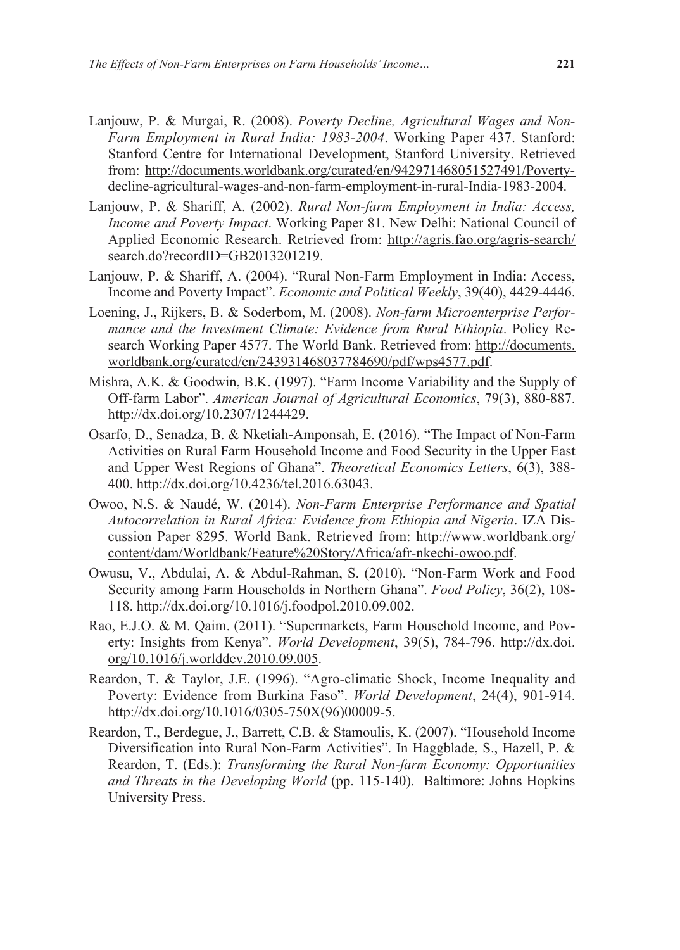- Lanjouw, P. & Murgai, R. (2008). *Poverty Decline, Agricultural Wages and Non-Farm Employment in Rural India: 1983-2004*. Working Paper 437. Stanford: Stanford Centre for International Development, Stanford University. Retrieved from: [http://documents.worldbank.org/curated/en/942971468051527491/Poverty](http://documents.worldbank.org/curated/en/942971468051527491/Poverty-decline-agricultural-wages-and-non-farm-employment-in-rural-India-1983-2004)[decline-agricultural-wages-and-non-farm-employment-in-rural-India-1983-2004.](http://documents.worldbank.org/curated/en/942971468051527491/Poverty-decline-agricultural-wages-and-non-farm-employment-in-rural-India-1983-2004)
- Lanjouw, P. & Shariff, A. (2002). *Rural Non-farm Employment in India: Access, Income and Poverty Impact*. Working Paper 81. New Delhi: National Council of Applied Economic Research. Retrieved from: [http://agris.fao.org/agris-search/](http://agris.fao.org/agris-search/search.do?recordID=GB2013201219) [search.do?recordID=GB2013201219.](http://agris.fao.org/agris-search/search.do?recordID=GB2013201219)
- Lanjouw, P. & Shariff, A. (2004). "Rural Non-Farm Employment in India: Access, Income and Poverty Impact". *Economic and Political Weekly*, 39(40), 4429-4446.
- Loening, J., Rijkers, B. & Soderbom, M. (2008). *Non-farm Microenterprise Performance and the Investment Climate: Evidence from Rural Ethiopia*. Policy Research Working Paper 4577. The World Bank. Retrieved from: [http://documents.](http://documents.worldbank.org/curated/en/243931468037784690/pdf/wps4577.pdf) [worldbank.org/curated/en/243931468037784690/pdf/wps4577.pdf](http://documents.worldbank.org/curated/en/243931468037784690/pdf/wps4577.pdf).
- Mishra, A.K. & Goodwin, B.K. (1997). "Farm Income Variability and the Supply of Off-farm Labor". *American Journal of Agricultural Economics*, 79(3), 880-887. <http://dx.doi.org/10.2307/1244429>.
- Osarfo, D., Senadza, B. & Nketiah-Amponsah, E. (2016). "The Impact of Non-Farm Activities on Rural Farm Household Income and Food Security in the Upper East and Upper West Regions of Ghana". *Theoretical Economics Letters*, 6(3), 388- 400. [http://dx.doi.org/10.4236/tel.2016.63043.](http://dx.doi.org/10.4236/tel.2016.63043)
- Owoo, N.S. & Naudé, W. (2014). *Non-Farm Enterprise Performance and Spatial Autocorrelation in Rural Africa: Evidence from Ethiopia and Nigeria*. IZA Discussion Paper 8295. World Bank. Retrieved from: [http://www.worldbank.org/](http://www.worldbank.org/content/dam/Worldbank/Feature%20Story/Africa/afr-nkechi-owoo.pdf) [content/dam/Worldbank/Feature%20Story/Africa/afr-nkechi-owoo.pdf](http://www.worldbank.org/content/dam/Worldbank/Feature%20Story/Africa/afr-nkechi-owoo.pdf).
- Owusu, V., Abdulai, A. & Abdul-Rahman, S. (2010). "Non-Farm Work and Food Security among Farm Households in Northern Ghana". *Food Policy*, 36(2), 108- 118. [http://dx.doi.org/10.1016/j.foodpol.2010.09.002.](http://dx.doi.org/10.1016/j.foodpol.2010.09.002)
- Rao, E.J.O. & M. Qaim. (2011). "Supermarkets, Farm Household Income, and Poverty: Insights from Kenya". *World Development*, 39(5), 784-796. [http://dx.doi.](http://dx.doi.org/10.1016/j.worlddev.2010.09.005) [org/10.1016/j.worlddev.2010.09.005.](http://dx.doi.org/10.1016/j.worlddev.2010.09.005)
- Reardon, T. & Taylor, J.E. (1996). "Agro-climatic Shock, Income Inequality and Poverty: Evidence from Burkina Faso". *World Development*, 24(4), 901-914. [http://dx.doi.org/10.1016/0305-750X\(96\)00009-5.](http://dx.doi.org/10.1016/0305-750X(96)00009-5)
- Reardon, T., Berdegue, J., Barrett, C.B. & Stamoulis, K. (2007). "Household Income Diversification into Rural Non-Farm Activities". In Haggblade, S., Hazell, P. & Reardon, T. (Eds.): *Transforming the Rural Non-farm Economy: Opportunities and Threats in the Developing World* (pp. 115-140). Baltimore: Johns Hopkins University Press.